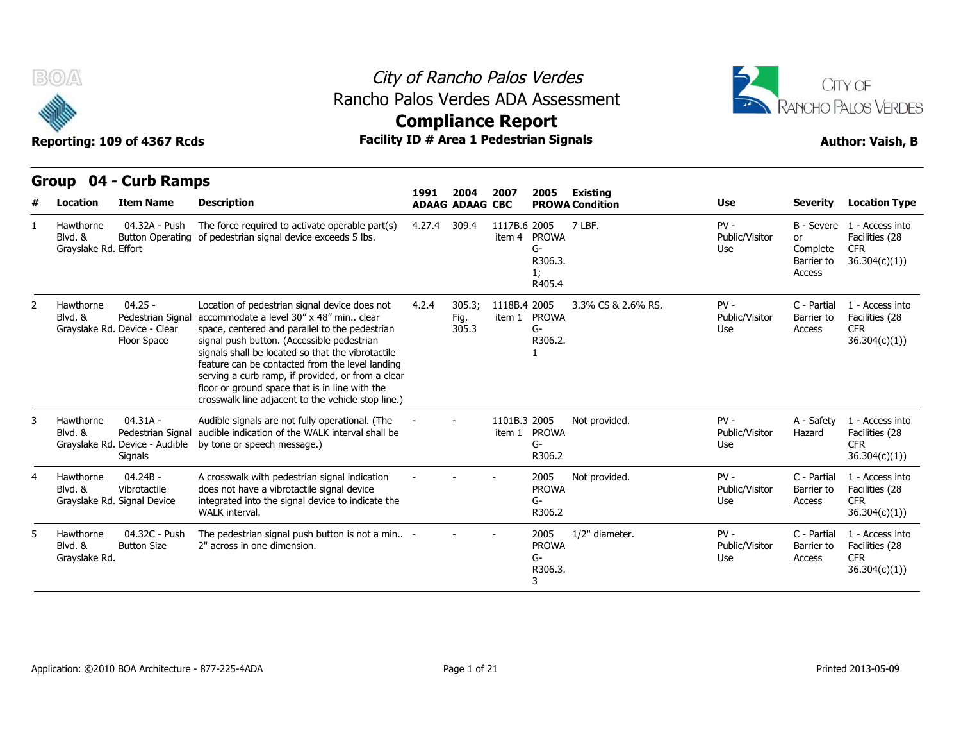



**Compliance Report**

### **Group 04 - Curb Ramps Item Name Description 1991 ADAAG 2004 ADAAG CBC PROWA 2007 2005 Existing # Location Condition Use Severity Location Type** 04.32A - Push Blvd. & Button Operating of pedestrian signal device exceeds 5 lbs. Grayslake Rd. Effort The force required to activate operable part(s) 4.27.4 309.4 1117B.6 2005 item 4 PROWA 7 I RF G-R306.3. 1; R405.4 7 LBF. PV - Public/Visitor or Use Complete B - Severe 1 - Access into or Facilities (28 Barrier to 36.304(c)(1)) Access CFR 1 Hawthorne 04.25 - Pedestrian Signal accommodate a level 30" x 48" min.. clear Grayslake Rd. Device - Clear space, ce Floor Space signal push button. (Accessible pedestrian Location of pedestrian signal device does not 4.2.4 305.3; space, centered and parallel to the pedestrian signals shall be located so that the vibrotactile feature can be contacted from the level landing serving a curb ramp, if provided, or from a clear floor or ground space that is in line with the crosswalk line adjacent to the vehicle stop line.) 4.2.4 305.3; 1118B.4 Fig. item 1 PROWA 305.3 2005 3.3% CS & 2.6% RS. PV - G-R306.2. 1 Public/Visitor Barrier to Use Access C - Partial 1 - Access into Barrier to Facilities (28 CFR 36.304(c)(1)) 2 Hawthorne Blvd. & 04.31A - Blvd. & Pedestrian Signal audible indication of the WALK interval shall be Grayslake Rd. Device - Audible by tone or speech message.) **Signals** Audible signals are not fully operational. (The 1101B.3 2005 item 1 PROWA 2005 Not provided. PV - G-R306.2 Public/Visitor Hazard Use A - Safety 1 - Access into Hazard Facilities (28 CFR 36.304(c)(1)) 3 Hawthorne 04.24B - Vibrotactile Signal Device integrated into the signal device to indicate the A crosswalk with pedestrian signal indication does not have a vibrotactile signal device WALK interval. - - - <sup>2005</sup> PROWA G-R306.2 Not provided. PV - C - Partial Public/Visitor Barrier to Use Access C - Partial 1 - Access into Barrier to Facilities (28 CFR 36.304(c)(1)) 4 Hawthorne Blvd. & Grayslake Rd. 04.32C - Push Button Size 2" across in one dimension. The pedestrian signal push button is not a min.. 2" across in one dimension. - - - <sup>2005</sup> PROWA G-R306.3. 3 1/2" diameter. The PV - PV - C - Partial Public/Visitor Barrier to Use Access C - Partial 1 - Access into Barrier to Facilities (28 CFR 36.304(c)(1)) 5 Hawthorne Blvd. & Grayslake Rd.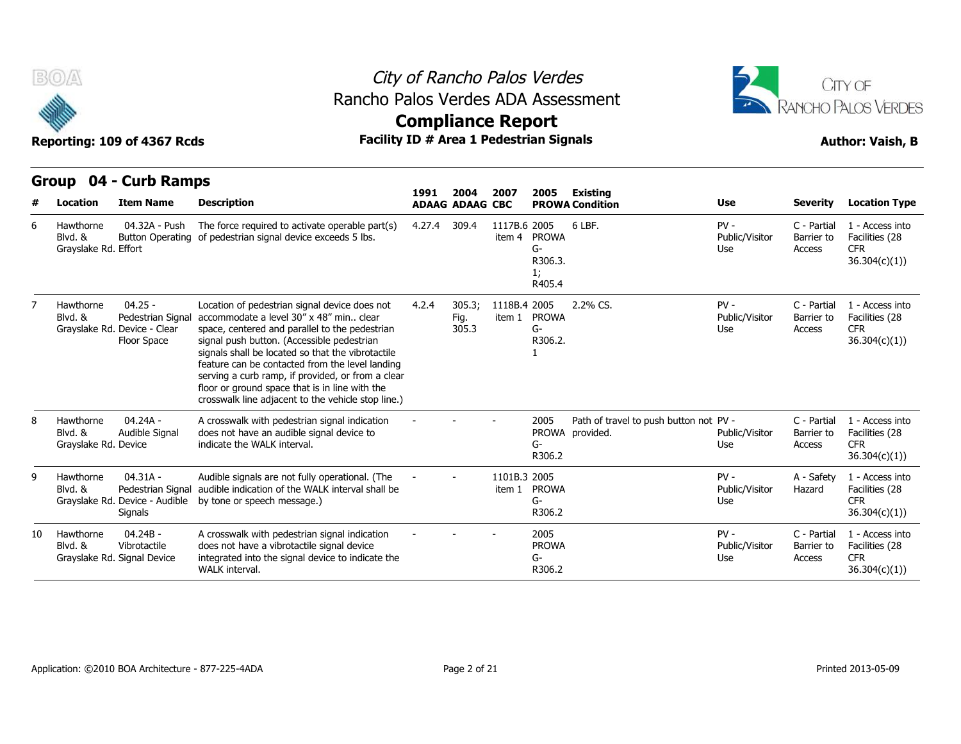

### City of Rancho Palos Verdes Rancho Palos Verdes ADA Assessment



## **Compliance Report**

|    |                                              | STUUP UT - CUID NAIIIPS                                                       |                                                                                                                                                                                                                                                                                                                                                                                                                                                                 | 1991   | 2004                    | 2007                   | 2005                                          | Existing                                                  |                                 |                                     |                                                                  |
|----|----------------------------------------------|-------------------------------------------------------------------------------|-----------------------------------------------------------------------------------------------------------------------------------------------------------------------------------------------------------------------------------------------------------------------------------------------------------------------------------------------------------------------------------------------------------------------------------------------------------------|--------|-------------------------|------------------------|-----------------------------------------------|-----------------------------------------------------------|---------------------------------|-------------------------------------|------------------------------------------------------------------|
| #  | <b>Location</b>                              | <b>Item Name</b>                                                              | <b>Description</b>                                                                                                                                                                                                                                                                                                                                                                                                                                              |        | <b>ADAAG ADAAG CBC</b>  |                        |                                               | <b>PROWA Condition</b>                                    | <b>Use</b>                      | <b>Severity</b>                     | <b>Location Type</b>                                             |
| 6  | Hawthorne<br>Blvd. &<br>Grayslake Rd. Effort | 04.32A - Push<br><b>Button Operating</b>                                      | The force required to activate operable part(s)<br>of pedestrian signal device exceeds 5 lbs.                                                                                                                                                                                                                                                                                                                                                                   | 4.27.4 | 309.4                   | 1117B.6 2005           | item 4 PROWA<br>G-<br>R306.3.<br>1;<br>R405.4 | 6 LBF.                                                    | $PV -$<br>Public/Visitor<br>Use | C - Partial<br>Barrier to<br>Access | 1 - Access into<br>Facilities (28<br><b>CFR</b><br>36.304(c)(1)) |
|    | Hawthorne<br>Blvd. &                         | $04.25 -$<br>Pedestrian Signal<br>Grayslake Rd. Device - Clear<br>Floor Space | Location of pedestrian signal device does not<br>accommodate a level 30" x 48" min., clear<br>space, centered and parallel to the pedestrian<br>signal push button. (Accessible pedestrian<br>signals shall be located so that the vibrotactile<br>feature can be contacted from the level landing<br>serving a curb ramp, if provided, or from a clear<br>floor or ground space that is in line with the<br>crosswalk line adjacent to the vehicle stop line.) | 4.2.4  | 305.3;<br>Fig.<br>305.3 | 1118B.4 2005           | item 1 PROWA<br>G-<br>R306.2.                 | 2.2% CS.                                                  | $PV -$<br>Public/Visitor<br>Use | C - Partial<br>Barrier to<br>Access | 1 - Access into<br>Facilities (28<br><b>CFR</b><br>36.304(c)(1)  |
|    | Hawthorne<br>Blvd. &<br>Grayslake Rd. Device | 04.24A -<br>Audible Signal                                                    | A crosswalk with pedestrian signal indication<br>does not have an audible signal device to<br>indicate the WALK interval.                                                                                                                                                                                                                                                                                                                                       |        |                         |                        | 2005<br>G-<br>R306.2                          | Path of travel to push button not PV -<br>PROWA provided. | Public/Visitor<br>Use           | C - Partial<br>Barrier to<br>Access | 1 - Access into<br>Facilities (28<br><b>CFR</b><br>36.304(c)(1)  |
| q  | Hawthorne<br>Blvd. &                         | $04.31A -$<br>Pedestrian Signal<br>Grayslake Rd. Device - Audible<br>Signals  | Audible signals are not fully operational. (The<br>audible indication of the WALK interval shall be<br>by tone or speech message.)                                                                                                                                                                                                                                                                                                                              |        |                         | 1101B.3 2005<br>item 1 | <b>PROWA</b><br>G-<br>R306.2                  |                                                           | $PV -$<br>Public/Visitor<br>Use | A - Safety<br>Hazard                | 1 - Access into<br>Facilities (28<br><b>CFR</b><br>36.304(c)(1)) |
| 10 | Hawthorne<br>Blvd. &                         | $04.24B -$<br>Vibrotactile<br>Grayslake Rd. Signal Device                     | A crosswalk with pedestrian signal indication<br>does not have a vibrotactile signal device<br>integrated into the signal device to indicate the<br>WALK interval.                                                                                                                                                                                                                                                                                              |        |                         |                        | 2005<br><b>PROWA</b><br>G-<br>R306.2          |                                                           | $PV -$<br>Public/Visitor<br>Use | C - Partial<br>Barrier to<br>Access | 1 - Access into<br>Facilities (28<br><b>CFR</b><br>36.304(c)(1)  |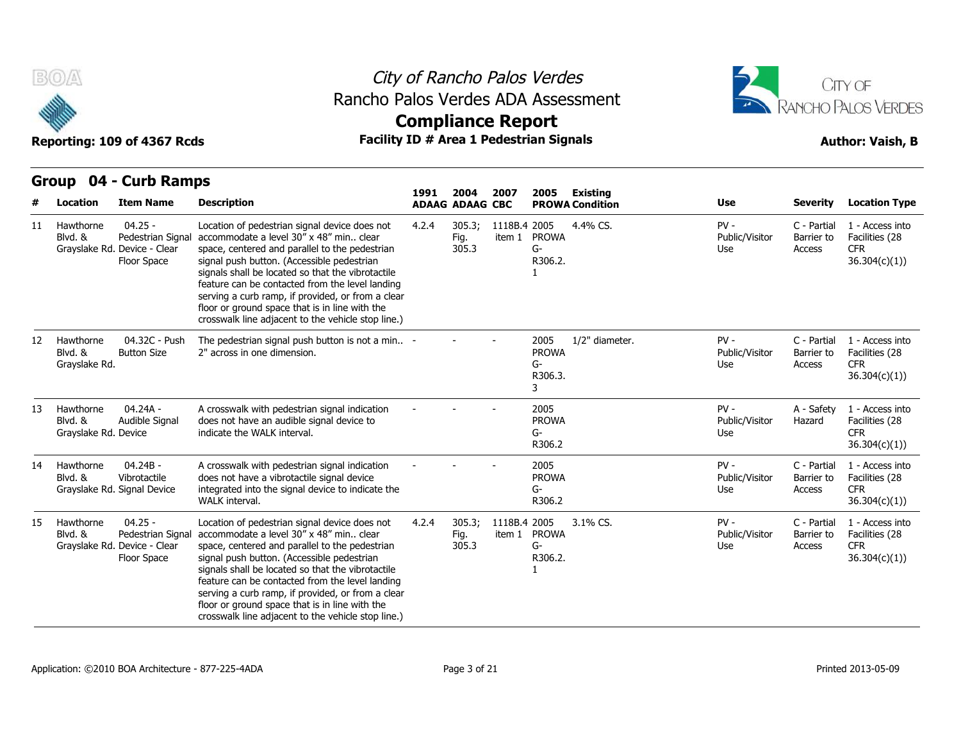

### City of Rancho Palos Verdes Rancho Palos Verdes ADA Assessment





|                   |                                              | GIUUP UT CUID RAIIIPS                                                         |                                                                                                                                                                                                                                                                                                                                                                                                                                                                 | 1991  | 2004                    | 2007         | 2005                                       | Existing               |                                 |                                     |                                                                  |
|-------------------|----------------------------------------------|-------------------------------------------------------------------------------|-----------------------------------------------------------------------------------------------------------------------------------------------------------------------------------------------------------------------------------------------------------------------------------------------------------------------------------------------------------------------------------------------------------------------------------------------------------------|-------|-------------------------|--------------|--------------------------------------------|------------------------|---------------------------------|-------------------------------------|------------------------------------------------------------------|
|                   | <b>Location</b>                              | <b>Item Name</b>                                                              | <b>Description</b>                                                                                                                                                                                                                                                                                                                                                                                                                                              |       | <b>ADAAG ADAAG CBC</b>  |              |                                            | <b>PROWA Condition</b> | <b>Use</b>                      | <b>Severity</b>                     | <b>Location Type</b>                                             |
| 11                | Hawthorne<br>Blvd. &                         | $04.25 -$<br>Pedestrian Signa<br>Grayslake Rd. Device - Clear<br>Floor Space  | Location of pedestrian signal device does not<br>accommodate a level 30" x 48" min clear<br>space, centered and parallel to the pedestrian<br>signal push button. (Accessible pedestrian<br>signals shall be located so that the vibrotactile<br>feature can be contacted from the level landing<br>serving a curb ramp, if provided, or from a clear<br>floor or ground space that is in line with the<br>crosswalk line adjacent to the vehicle stop line.)   | 4.2.4 | 305.3;<br>Fig.<br>305.3 | 1118B.4 2005 | item 1 PROWA<br>G-<br>R306.2.              | 4.4% CS.               | $PV -$<br>Public/Visitor<br>Use | C - Partial<br>Barrier to<br>Access | 1 - Access into<br>Facilities (28<br><b>CFR</b><br>36.304(c)(1)  |
| $12 \overline{ }$ | Hawthorne<br>Blvd. &<br>Grayslake Rd.        | 04.32C - Push<br><b>Button Size</b>                                           | The pedestrian signal push button is not a min -<br>2" across in one dimension.                                                                                                                                                                                                                                                                                                                                                                                 |       |                         |              | 2005<br><b>PROWA</b><br>G-<br>R306.3.<br>3 | 1/2" diameter.         | $PV -$<br>Public/Visitor<br>Use | C - Partial<br>Barrier to<br>Access | 1 - Access into<br>Facilities (28<br><b>CFR</b><br>36.304(c)(1)  |
| 13                | Hawthorne<br>Blvd. &<br>Grayslake Rd. Device | 04.24A -<br>Audible Signal                                                    | A crosswalk with pedestrian signal indication<br>does not have an audible signal device to<br>indicate the WALK interval.                                                                                                                                                                                                                                                                                                                                       |       |                         |              | 2005<br><b>PROWA</b><br>G-<br>R306.2       |                        | $PV -$<br>Public/Visitor<br>Use | A - Safety<br>Hazard                | 1 - Access into<br>Facilities (28<br><b>CFR</b><br>36.304(c)(1)  |
| 14                | Hawthorne<br>Blvd. &                         | 04.24B -<br>Vibrotactile<br>Grayslake Rd. Signal Device                       | A crosswalk with pedestrian signal indication<br>does not have a vibrotactile signal device<br>integrated into the signal device to indicate the<br>WALK interval.                                                                                                                                                                                                                                                                                              |       |                         |              | 2005<br><b>PROWA</b><br>G-<br>R306.2       |                        | $PV -$<br>Public/Visitor<br>Use | C - Partial<br>Barrier to<br>Access | 1 - Access into<br>Facilities (28<br><b>CFR</b><br>36.304(c)(1)) |
| 15                | Hawthorne<br>Blvd. &                         | $04.25 -$<br>Pedestrian Signal<br>Grayslake Rd. Device - Clear<br>Floor Space | Location of pedestrian signal device does not<br>accommodate a level 30" x 48" min., clear<br>space, centered and parallel to the pedestrian<br>signal push button. (Accessible pedestrian<br>signals shall be located so that the vibrotactile<br>feature can be contacted from the level landing<br>serving a curb ramp, if provided, or from a clear<br>floor or ground space that is in line with the<br>crosswalk line adjacent to the vehicle stop line.) | 4.2.4 | 305.3;<br>Fig.<br>305.3 | 1118B.4 2005 | item 1 PROWA<br>G-<br>R306.2.              | 3.1% CS.               | $PV -$<br>Public/Visitor<br>Use | C - Partial<br>Barrier to<br>Access | 1 - Access into<br>Facilities (28<br><b>CFR</b><br>36.304(c)(1)  |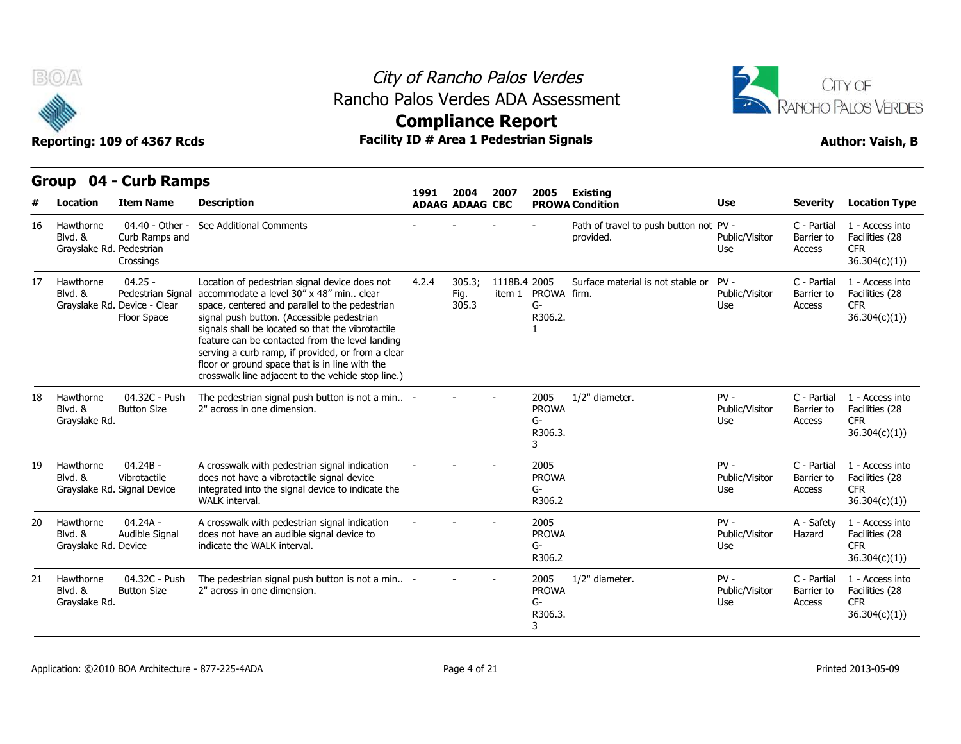

### City of Rancho Palos Verdes Rancho Palos Verdes ADA Assessment



## **Compliance Report**

### **Item Name Description 1991 ADAAG 2004 ADAAG CBC PROWA 2007 2005 Existing # Location Condition Use Severity Location Type** 04.40 - Other - See Additional Comments Curb Ramps and Grayslake Rd. Pedestrian Crossings See Additional Comments **See Additional Comments Comments Comments Comments Comments Comments Comments Comments Comments Comments Comments Comments Comments Comments Comments Comments Commen** provided. Public/Visitor Barrier to Use Access C - Partial 1 - Access into Barrier to Facilities (28 CFR 36.304(c)(1)) 16 Hawthorne Blvd. & 04.25 - Blvd. & Pedestrian Signal accommodate a level 30" x 48" min.. clear Grayslake Rd. Device - Clear space, ce Floor Space signal push button. (Accessible pedestrian Location of pedestrian signal device does not 4.2.4 305.3; space, centered and parallel to the pedestrian signals shall be located so that the vibrotactile feature can be contacted from the level landing serving a curb ramp, if provided, or from a clear floor or ground space that is in line with the crosswalk line adjacent to the vehicle stop line.) 4.2.4 305.3; 1118B.4 Fig. item 1 PROWA firm. 305.3 2005 Surface material is not stable or G-R306.2. 1 PV - C - Partial Public/Visitor Use Access C - Partial 1 - Access into Barrier to Facilities (28 CFR 36.304(c)(1)) 17 Hawthorne 04.32C - Push Button Size 2" across in one dimension. The pedestrian signal push button is not a min.. 2" across in one dimension. - - - <sup>2005</sup> PROWA G-R306.3. 3 1/2" diameter. The Review PV - The C - Partial Public/Visitor Barrier to Use Access C - Partial 1 - Access into Barrier to Facilities (28 CFR 36.304(c)(1)) 18 Hawthorne Blvd. & Grayslake Rd. 04.24B - Vibrotactile Signal Device integrated into the signal device to indicate the A crosswalk with pedestrian signal indication does not have a vibrotactile signal device WALK interval. - - - <sup>2005</sup> PROWA G-R306.2 PV - C - Partial Public/Visitor Barrier to Use Access C - Partial 1 - Access into Barrier to Facilities (28 CFR 36.304(c)(1)) 19 Hawthorne Blvd. & Grayslake Rd. 04.24A - Audible Signal indicate the WAI K interval. A crosswalk with pedestrian signal indication does not have an audible signal device to indicate the WALK interval. - - - <sup>2005</sup> PROWA G-R306.2 PV - A - Safety Public/Visitor Use A - Safety 1 - Access into Hazard Facilities (28 CFR 36.304(c)(1)) 20 Hawthorne Blvd. & Grayslake Rd. 04.32C - Push Button Size 2" across in one dimension The pedestrian signal push button is not a min.. 2" across in one dimension. - - - <sup>2005</sup> PROWA G-R306.3. 3 1/2" diameter. 
PV - 
C - Partial Public/Visitor Use Access C - Partial 1 - Access into Barrier to Facilities (28 CFR 36.304(c)(1)) 21 Hawthorne Blvd. & Grayslake Rd.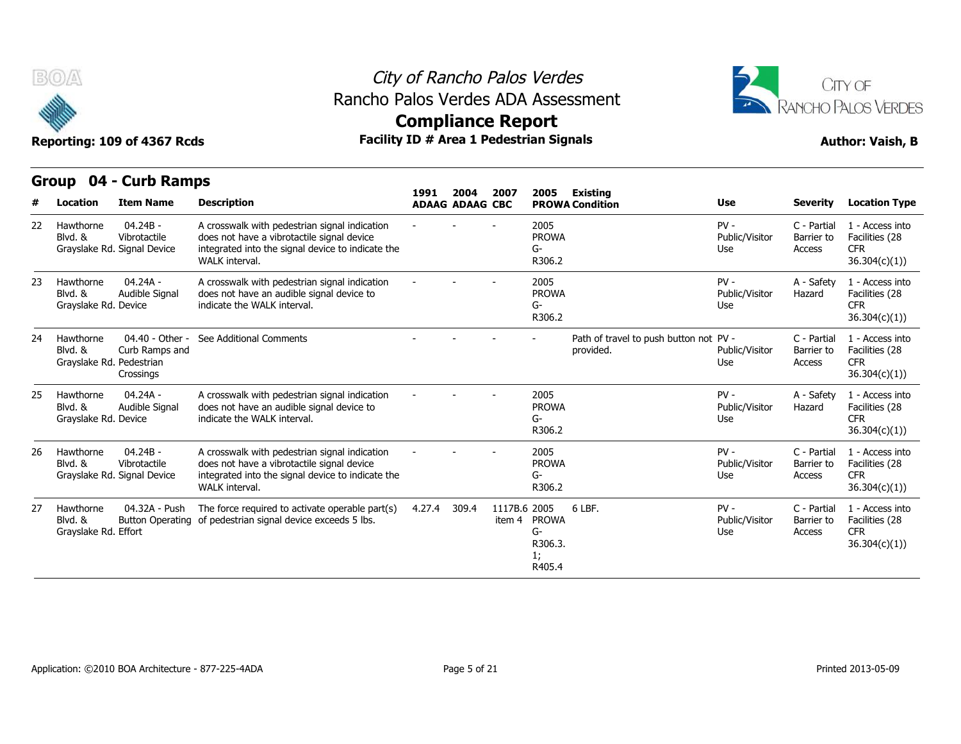



## **Compliance Report**

|    | Group                                            | 04 - Curb Ramps                                           |                                                                                                                                                                    |        |                                |                        |                                               |                                                     |                                 |                                     |                                                                  |
|----|--------------------------------------------------|-----------------------------------------------------------|--------------------------------------------------------------------------------------------------------------------------------------------------------------------|--------|--------------------------------|------------------------|-----------------------------------------------|-----------------------------------------------------|---------------------------------|-------------------------------------|------------------------------------------------------------------|
|    | Location                                         | <b>Item Name</b>                                          | <b>Description</b>                                                                                                                                                 | 1991   | 2004<br><b>ADAAG ADAAG CBC</b> | 2007                   | 2005                                          | <b>Existing</b><br><b>PROWA Condition</b>           | Use                             | <b>Severity</b>                     | <b>Location Type</b>                                             |
| 22 | Hawthorne<br>Blvd. &                             | $04.24B -$<br>Vibrotactile<br>Grayslake Rd. Signal Device | A crosswalk with pedestrian signal indication<br>does not have a vibrotactile signal device<br>integrated into the signal device to indicate the<br>WALK interval. |        |                                |                        | 2005<br><b>PROWA</b><br>G-<br>R306.2          |                                                     | $PV -$<br>Public/Visitor<br>Use | C - Partial<br>Barrier to<br>Access | 1 - Access into<br>Facilities (28<br><b>CFR</b><br>36.304(c)(1)  |
| 23 | Hawthorne<br>Blvd. &<br>Grayslake Rd. Device     | $04.24A -$<br>Audible Signal                              | A crosswalk with pedestrian signal indication<br>does not have an audible signal device to<br>indicate the WALK interval.                                          |        |                                |                        | 2005<br><b>PROWA</b><br>G-<br>R306.2          |                                                     | $PV -$<br>Public/Visitor<br>Use | A - Safety<br>Hazard                | 1 - Access into<br>Facilities (28<br><b>CFR</b><br>36.304(c)(1)) |
| 24 | Hawthorne<br>Blvd. &<br>Grayslake Rd. Pedestrian | 04.40 - Other -<br>Curb Ramps and<br>Crossings            | See Additional Comments                                                                                                                                            |        |                                |                        |                                               | Path of travel to push button not PV -<br>provided. | Public/Visitor<br>Use           | C - Partial<br>Barrier to<br>Access | 1 - Access into<br>Facilities (28<br><b>CFR</b><br>36.304(c)(1)  |
| 25 | Hawthorne<br>Blvd. &<br>Grayslake Rd. Device     | $04.24A -$<br>Audible Signal                              | A crosswalk with pedestrian signal indication<br>does not have an audible signal device to<br>indicate the WALK interval.                                          |        |                                |                        | 2005<br><b>PROWA</b><br>G-<br>R306.2          |                                                     | $PV -$<br>Public/Visitor<br>Use | A - Safety<br>Hazard                | 1 - Access into<br>Facilities (28<br><b>CFR</b><br>36.304(c)(1)  |
| 26 | Hawthorne<br>Blvd. &                             | $04.24B -$<br>Vibrotactile<br>Grayslake Rd. Signal Device | A crosswalk with pedestrian signal indication<br>does not have a vibrotactile signal device<br>integrated into the signal device to indicate the<br>WALK interval. |        |                                |                        | 2005<br><b>PROWA</b><br>G-<br>R306.2          |                                                     | $PV -$<br>Public/Visitor<br>Use | C - Partial<br>Barrier to<br>Access | 1 - Access into<br>Facilities (28<br><b>CFR</b><br>36.304(c)(1)  |
| 27 | Hawthorne<br>Blvd. &<br>Grayslake Rd. Effort     | 04.32A - Push                                             | The force required to activate operable part(s)<br>Button Operating of pedestrian signal device exceeds 5 lbs.                                                     | 4.27.4 | 309.4                          | 1117B.6 2005<br>item 4 | <b>PROWA</b><br>G-<br>R306.3.<br>1;<br>R405.4 | 6 LBF.                                              | $PV -$<br>Public/Visitor<br>Use | C - Partial<br>Barrier to<br>Access | 1 - Access into<br>Facilities (28<br><b>CFR</b><br>36.304(c)(1)  |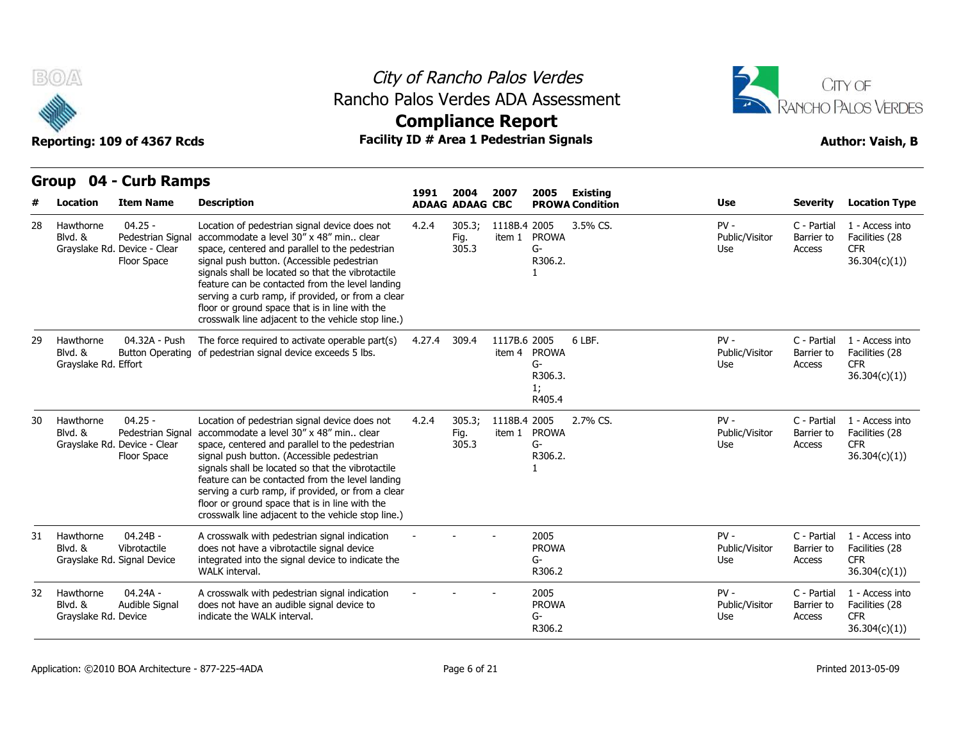

### City of Rancho Palos Verdes Rancho Palos Verdes ADA Assessment



|    | Location                                     | <b>Item Name</b>                                                              | <b>Description</b>                                                                                                                                                                                                                                                                                                                                                                                                                                            | 1991   | 2004<br><b>ADAAG ADAAG CBC</b> | 2007                   | 2005                                          | <b>Existing</b><br><b>PROWA Condition</b> | <b>Use</b>                      | <b>Severity</b>                     | <b>Location Type</b>                                             |
|----|----------------------------------------------|-------------------------------------------------------------------------------|---------------------------------------------------------------------------------------------------------------------------------------------------------------------------------------------------------------------------------------------------------------------------------------------------------------------------------------------------------------------------------------------------------------------------------------------------------------|--------|--------------------------------|------------------------|-----------------------------------------------|-------------------------------------------|---------------------------------|-------------------------------------|------------------------------------------------------------------|
| 28 | Hawthorne<br>Blvd. &                         | $04.25 -$<br>Pedestrian Signal<br>Grayslake Rd. Device - Clear<br>Floor Space | Location of pedestrian signal device does not<br>accommodate a level 30" x 48" min clear<br>space, centered and parallel to the pedestrian<br>signal push button. (Accessible pedestrian<br>signals shall be located so that the vibrotactile<br>feature can be contacted from the level landing<br>serving a curb ramp, if provided, or from a clear<br>floor or ground space that is in line with the<br>crosswalk line adjacent to the vehicle stop line.) | 4.2.4  | 305.3;<br>Fig.<br>305.3        | 1118B.4 2005<br>item 1 | <b>PROWA</b><br>G-<br>R306.2.                 | 3.5% CS.                                  | $PV -$<br>Public/Visitor<br>Use | C - Partial<br>Barrier to<br>Access | 1 - Access into<br>Facilities (28<br><b>CFR</b><br>36.304(c)(1)) |
| 29 | Hawthorne<br>Blvd. &<br>Grayslake Rd. Effort | 04.32A - Push                                                                 | The force required to activate operable part(s)<br>Button Operating of pedestrian signal device exceeds 5 lbs.                                                                                                                                                                                                                                                                                                                                                | 4.27.4 | 309.4                          | 1117B.6 2005<br>item 4 | <b>PROWA</b><br>G-<br>R306.3.<br>1;<br>R405.4 | 6 LBF.                                    | $PV -$<br>Public/Visitor<br>Use | C - Partial<br>Barrier to<br>Access | 1 - Access into<br>Facilities (28<br><b>CFR</b><br>36.304(c)(1)  |
| 30 | Hawthorne<br>Blvd. &                         | $04.25 -$<br>Pedestrian Signal<br>Grayslake Rd. Device - Clear<br>Floor Space | Location of pedestrian signal device does not<br>accommodate a level 30" x 48" min clear<br>space, centered and parallel to the pedestrian<br>signal push button. (Accessible pedestrian<br>signals shall be located so that the vibrotactile<br>feature can be contacted from the level landing<br>serving a curb ramp, if provided, or from a clear<br>floor or ground space that is in line with the<br>crosswalk line adjacent to the vehicle stop line.) | 4.2.4  | 305.3;<br>Fig.<br>305.3        | 1118B.4 2005           | item 1 PROWA<br>$G-$<br>R306.2.               | 2.7% CS.                                  | $PV -$<br>Public/Visitor<br>Use | C - Partial<br>Barrier to<br>Access | 1 - Access into<br>Facilities (28<br><b>CFR</b><br>36.304(c)(1)  |
| 31 | Hawthorne<br>Blvd. &                         | $04.24B -$<br>Vibrotactile<br>Grayslake Rd. Signal Device                     | A crosswalk with pedestrian signal indication<br>does not have a vibrotactile signal device<br>integrated into the signal device to indicate the<br>WALK interval.                                                                                                                                                                                                                                                                                            |        |                                |                        | 2005<br><b>PROWA</b><br>G-<br>R306.2          |                                           | $PV -$<br>Public/Visitor<br>Use | C - Partial<br>Barrier to<br>Access | 1 - Access into<br>Facilities (28<br><b>CFR</b><br>36.304(c)(1)  |
| 32 | Hawthorne<br>Blvd. &<br>Grayslake Rd. Device | 04.24A -<br>Audible Signal                                                    | A crosswalk with pedestrian signal indication<br>does not have an audible signal device to<br>indicate the WALK interval.                                                                                                                                                                                                                                                                                                                                     |        |                                |                        | 2005<br><b>PROWA</b><br>G-<br>R306.2          |                                           | $PV -$<br>Public/Visitor<br>Use | C - Partial<br>Barrier to<br>Access | 1 - Access into<br>Facilities (28<br><b>CFR</b><br>36.304(c)(1)  |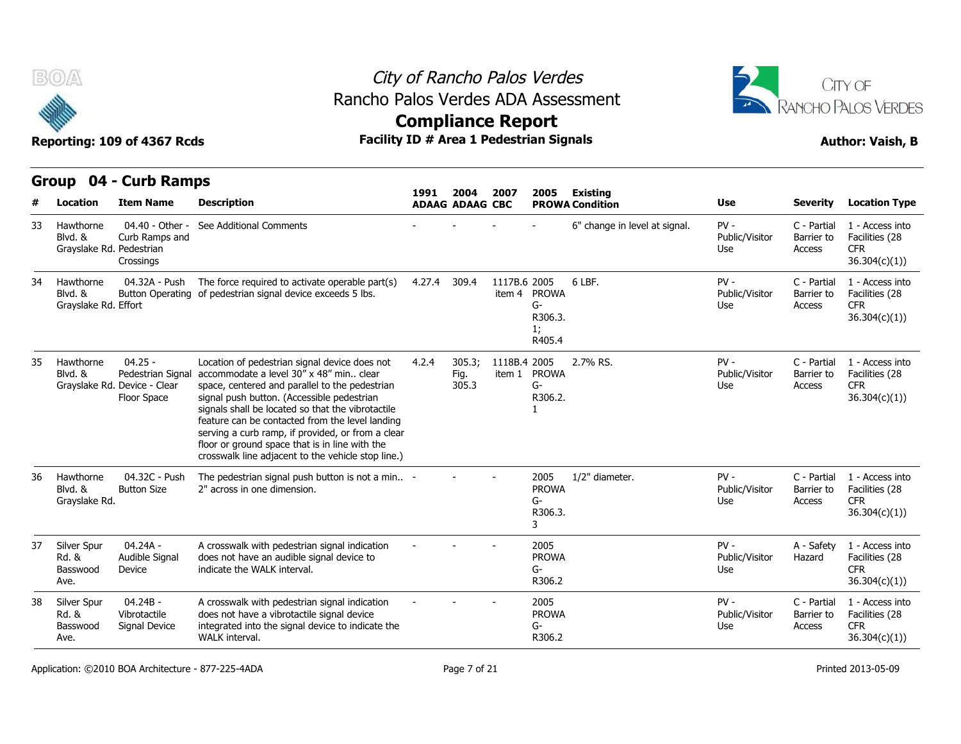



**Compliance Report**

### **Group 04 - Curb Ramps Item Name Description 1991 ADAAG 2004 ADAAG CBC PROWA 2007 2005 Existing # Location Condition Use Severity Location Type** 04.40 - Other - See Additional Comments Blvd. & Curb Ramps and Grayslake Rd. Pedestrian Crossings 6" change in level at signal. PV - C - Partial Public/Visitor Barrier to Use Access C - Partial 1 - Access into Barrier to Facilities (28 CFR 36.304(c)(1)) 33 Hawthorne 04.32A - Push Blvd. & Button Operating of pedestrian signal device exceeds 5 lbs. Grayslake Rd. Effort The force required to activate operable part(s) 4.27.4 309.4 1117B.6 item 4 PROWA 6 I RF G-R306.3. 1; R405.4 6 LBF. PV - Public/Visitor Barrier to Use Access C - Partial 1 - Access into Barrier to Facilities (28 CFR 36.304(c)(1)) 34 Hawthorne 04.25 - Pedestrian Signal accommodate a level 30" x 48" min.. clear Blvd. & Grayslake Rd. Device - Clear space, ce Floor Space signal push button. (Accessible pedestrian Location of pedestrian signal device does not 4.2.4 305.3: space, centered and parallel to the pedestrian signals shall be located so that the vibrotactile feature can be contacted from the level landing serving a curb ramp, if provided, or from a clear floor or ground space that is in line with the crosswalk line adjacent to the vehicle stop line.) 4.2.4 305.3; 1118B.4 Fig. item 1 PROWA 305.3 2005 2.7% RS. PV - G-R306.2. 1 Public/Visitor Use Access C - Partial 1 - Access into Barrier to Facilities (28 CFR 36.304(c)(1)) 35 Hawthorne 04.32C - Push Button Size 2" across in one dimension. The pedestrian signal push button is not a min.. 2" across in one dimension. - - - <sup>2005</sup> PROWA G-R306.3. 3 1/2" diameter. The Review PV - The C - Partial Public/Visitor Use Access C - Partial 1 - Access into Barrier to Facilities (28 CFR 36.304(c)(1)) 36 Hawthorne Blvd. & Grayslake Rd. 04.24A - Audible Signal Device **indicate the WALK interval.** A crosswalk with pedestrian signal indication indicate the WALK interval. - - - <sup>2005</sup> does not have an audible signal device to PROWA G-R306.2 PV - A - Safety Public/Visitor Use A - Safety 1 - Access into Hazard Facilities (28 CFR 36.304(c)(1)) 37 Silver Spur Rd. & Basswood Ave. 04.24B - Vibrotactile Rd. & Signal Device integrated into the signal device to indicate the A crosswalk with pedestrian signal indication does not have a vibrotactile signal device A crosswalk with pedestrian signal indication and the crosswalk with pedestrian signal device<br>does not have a vibrotactile signal device<br>integrated into the signal device to indicate the G-<br>WALK interval. PROWA G-R306.2 PV - C - Partial Public/Visitor Barrier to Use Access C - Partial 1 - Access into Barrier to Facilities (28 CFR 36.304(c)(1)) 38 Silver Spur Basswood Signal Device Ave.

Application: ©2010 BOA Architecture - 877-225-4ADA Page 7 of 21 Printed 2013-05-09 Printed 2013-05-09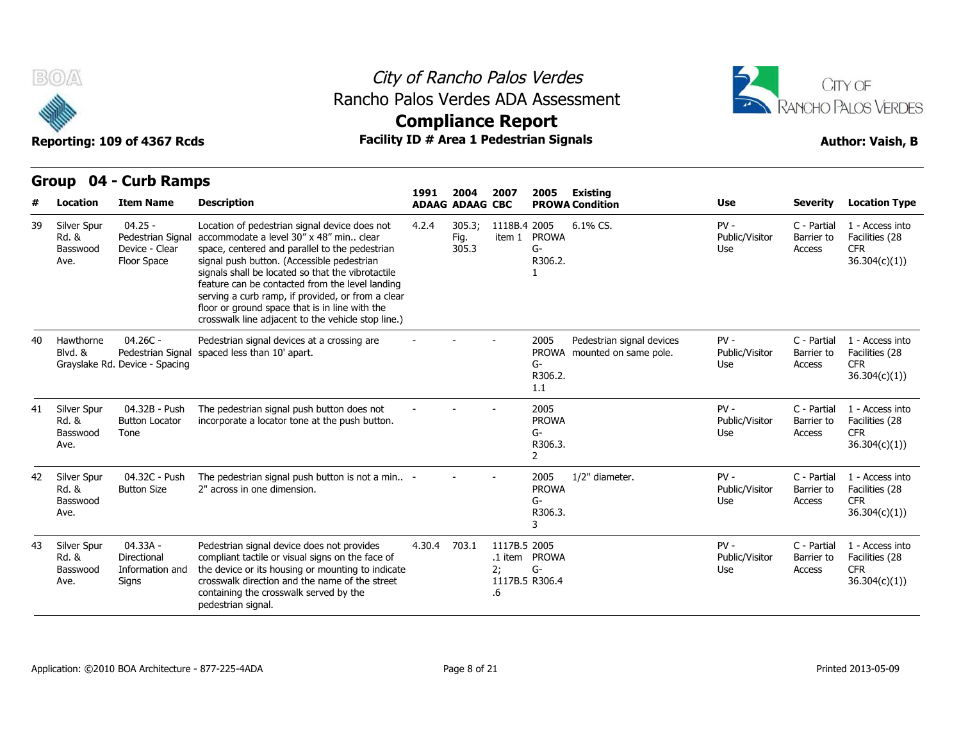

### City of Rancho Palos Verdes Rancho Palos Verdes ADA Assessment



# **Compliance Report**

|    |                                          |                                                                   |                                                                                                                                                                                                                                                                                                                                                                                                                                                               | 1991   | 2004                    | 2007                                       | 2005                                       | Existing                                                 |                                 |                                     |                                                                  |
|----|------------------------------------------|-------------------------------------------------------------------|---------------------------------------------------------------------------------------------------------------------------------------------------------------------------------------------------------------------------------------------------------------------------------------------------------------------------------------------------------------------------------------------------------------------------------------------------------------|--------|-------------------------|--------------------------------------------|--------------------------------------------|----------------------------------------------------------|---------------------------------|-------------------------------------|------------------------------------------------------------------|
|    | <b>Location</b>                          | <b>Item Name</b>                                                  | <b>Description</b>                                                                                                                                                                                                                                                                                                                                                                                                                                            |        | <b>ADAAG ADAAG CBC</b>  |                                            |                                            | <b>PROWA Condition</b>                                   | <b>Use</b>                      | <b>Severity</b>                     | <b>Location Type</b>                                             |
| 39 | Silver Spur<br>Rd. &<br>Basswood<br>Ave. | $04.25 -$<br>Pedestrian Signal<br>Device - Clear<br>Floor Space   | Location of pedestrian signal device does not<br>accommodate a level 30" x 48" min clear<br>space, centered and parallel to the pedestrian<br>signal push button. (Accessible pedestrian<br>signals shall be located so that the vibrotactile<br>feature can be contacted from the level landing<br>serving a curb ramp, if provided, or from a clear<br>floor or ground space that is in line with the<br>crosswalk line adjacent to the vehicle stop line.) | 4.2.4  | 305.3;<br>Fig.<br>305.3 | 1118B.4 2005                               | item 1 PROWA<br>G-<br>R306.2.              | $6.1\%$ CS.                                              | $PV -$<br>Public/Visitor<br>Use | C - Partial<br>Barrier to<br>Access | 1 - Access into<br>Facilities (28<br><b>CFR</b><br>36.304(c)(1)  |
| 40 | Hawthorne<br>Blvd. &                     | $04.26C -$<br>Pedestrian Signal<br>Grayslake Rd. Device - Spacing | Pedestrian signal devices at a crossing are<br>spaced less than 10' apart.                                                                                                                                                                                                                                                                                                                                                                                    |        |                         |                                            | 2005<br>G-<br>R306.2.<br>1.1               | Pedestrian signal devices<br>PROWA mounted on same pole. | $PV -$<br>Public/Visitor<br>Use | C - Partial<br>Barrier to<br>Access | 1 - Access into<br>Facilities (28<br><b>CFR</b><br>36.304(c)(1)) |
| 41 | Silver Spur<br>Rd. &<br>Basswood<br>Ave. | 04.32B - Push<br><b>Button Locator</b><br>Tone                    | The pedestrian signal push button does not<br>incorporate a locator tone at the push button.                                                                                                                                                                                                                                                                                                                                                                  |        |                         |                                            | 2005<br><b>PROWA</b><br>G-<br>R306.3.<br>2 |                                                          | $PV -$<br>Public/Visitor<br>Use | C - Partial<br>Barrier to<br>Access | 1 - Access into<br>Facilities (28<br><b>CFR</b><br>36.304(c)(1)  |
| 42 | Silver Spur<br>Rd. &<br>Basswood<br>Ave. | 04.32C - Push<br><b>Button Size</b>                               | The pedestrian signal push button is not a min -<br>2" across in one dimension.                                                                                                                                                                                                                                                                                                                                                                               |        |                         |                                            | 2005<br><b>PROWA</b><br>G-<br>R306.3.<br>3 | 1/2" diameter.                                           | $PV -$<br>Public/Visitor<br>Use | C - Partial<br>Barrier to<br>Access | 1 - Access into<br>Facilities (28<br><b>CFR</b><br>36.304(c)(1)  |
| 43 | Silver Spur<br>Rd. &<br>Basswood<br>Ave. | 04.33A -<br>Directional<br>Information and<br>Signs               | Pedestrian signal device does not provides<br>compliant tactile or visual signs on the face of<br>the device or its housing or mounting to indicate<br>crosswalk direction and the name of the street<br>containing the crosswalk served by the<br>pedestrian signal.                                                                                                                                                                                         | 4.30.4 | 703.1                   | 1117B.5 2005<br>2:<br>1117B.5 R306.4<br>.6 | .1 item PROWA<br>G-                        |                                                          | $PV -$<br>Public/Visitor<br>Use | C - Partial<br>Barrier to<br>Access | 1 - Access into<br>Facilities (28<br><b>CFR</b><br>36.304(c)(1)  |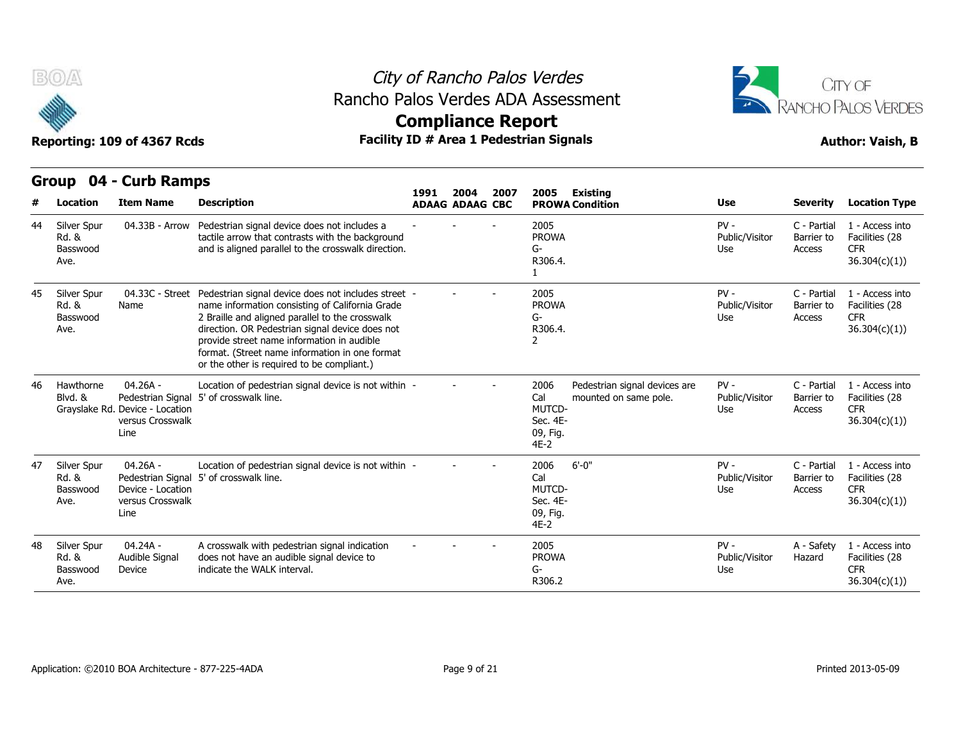



### **Compliance Report**

|  | <b>Author: Vaish, B</b> |  |  |
|--|-------------------------|--|--|
|--|-------------------------|--|--|

|    | B(0)                                     | Reporting: 109 of 4367 Rcds                                               | Rancho Palos Verdes ADA Assessment<br>Facility ID # Area 1 Pedestrian Signals                                                                                                                                                                                                                                                                              | <b>Compliance Report</b> |                                |      | City of Rancho Palos Verdes                                    |                                                        |                                 |                                     | CITY OF<br><b>RANCHO PALOS VERDES</b><br><b>Author: Vaish, B</b> |
|----|------------------------------------------|---------------------------------------------------------------------------|------------------------------------------------------------------------------------------------------------------------------------------------------------------------------------------------------------------------------------------------------------------------------------------------------------------------------------------------------------|--------------------------|--------------------------------|------|----------------------------------------------------------------|--------------------------------------------------------|---------------------------------|-------------------------------------|------------------------------------------------------------------|
|    | Location                                 | Group 04 - Curb Ramps<br><b>Item Name</b>                                 | <b>Description</b>                                                                                                                                                                                                                                                                                                                                         | 1991                     | 2004<br><b>ADAAG ADAAG CBC</b> | 2007 | 2005                                                           | Existing<br><b>PROWA Condition</b>                     | Use                             | <b>Severity</b>                     | <b>Location Type</b>                                             |
| 44 | Silver Spur<br>Rd. &<br>Basswood<br>Ave. | 04.33B - Arrow                                                            | Pedestrian signal device does not includes a<br>tactile arrow that contrasts with the background<br>and is aligned parallel to the crosswalk direction.                                                                                                                                                                                                    |                          |                                |      | 2005<br><b>PROWA</b><br>G-<br>R306.4.<br>1                     |                                                        | $PV -$<br>Public/Visitor<br>Use | C - Partial<br>Barrier to<br>Access | 1 - Access into<br>Facilities (28<br><b>CFR</b><br>36.304(c)(1)  |
| 45 | Silver Spur<br>Rd. &<br>Basswood<br>Ave. | 04.33C - Street<br>Name                                                   | Pedestrian signal device does not includes street -<br>name information consisting of California Grade<br>2 Braille and aligned parallel to the crosswalk<br>direction. OR Pedestrian signal device does not<br>provide street name information in audible<br>format. (Street name information in one format<br>or the other is required to be compliant.) |                          |                                |      | 2005<br><b>PROWA</b><br>$G-$<br>R306.4.<br>$\overline{2}$      |                                                        | $PV -$<br>Public/Visitor<br>Use | C - Partial<br>Barrier to<br>Access | 1 - Access into<br>Facilities (28<br><b>CFR</b><br>36.304(c)(1)  |
| 46 | Hawthorne<br>Blvd. &                     | $04.26A -$<br>Grayslake Rd. Device - Location<br>versus Crosswalk<br>Line | Location of pedestrian signal device is not within -<br>Pedestrian Signal 5' of crosswalk line.                                                                                                                                                                                                                                                            |                          |                                |      | 2006<br>Cal<br>MUTCD-<br>Sec. 4E-<br>09, Fig.<br>$4E-2$        | Pedestrian signal devices are<br>mounted on same pole. | $PV -$<br>Public/Visitor<br>Use | C - Partial<br>Barrier to<br>Access | 1 - Access into<br>Facilities (28<br><b>CFR</b><br>36.304(c)(1)  |
| 47 | Silver Spur<br>Rd. &<br>Basswood<br>Ave. | $04.26A -$<br>Device - Location<br>versus Crosswalk<br>Line               | Location of pedestrian signal device is not within -<br>Pedestrian Signal 5' of crosswalk line.                                                                                                                                                                                                                                                            |                          |                                |      | 2006<br>Cal<br><b>MUTCD-</b><br>Sec. 4E-<br>09, Fig.<br>$4E-2$ | $6' - 0''$                                             | $PV -$<br>Public/Visitor<br>Use | C - Partial<br>Barrier to<br>Access | 1 - Access into<br>Facilities (28<br><b>CFR</b><br>36.304(c)(1)  |
| 48 | Silver Spur<br>Rd. &<br>Basswood<br>Ave. | 04.24A -<br>Audible Signal<br>Device                                      | A crosswalk with pedestrian signal indication<br>does not have an audible signal device to<br>indicate the WALK interval.                                                                                                                                                                                                                                  |                          |                                |      | 2005<br><b>PROWA</b><br>$G-$<br>R306.2                         |                                                        | $PV -$<br>Public/Visitor<br>Use | A - Safety<br>Hazard                | 1 - Access into<br>Facilities (28<br><b>CFR</b><br>36.304(c)(1)) |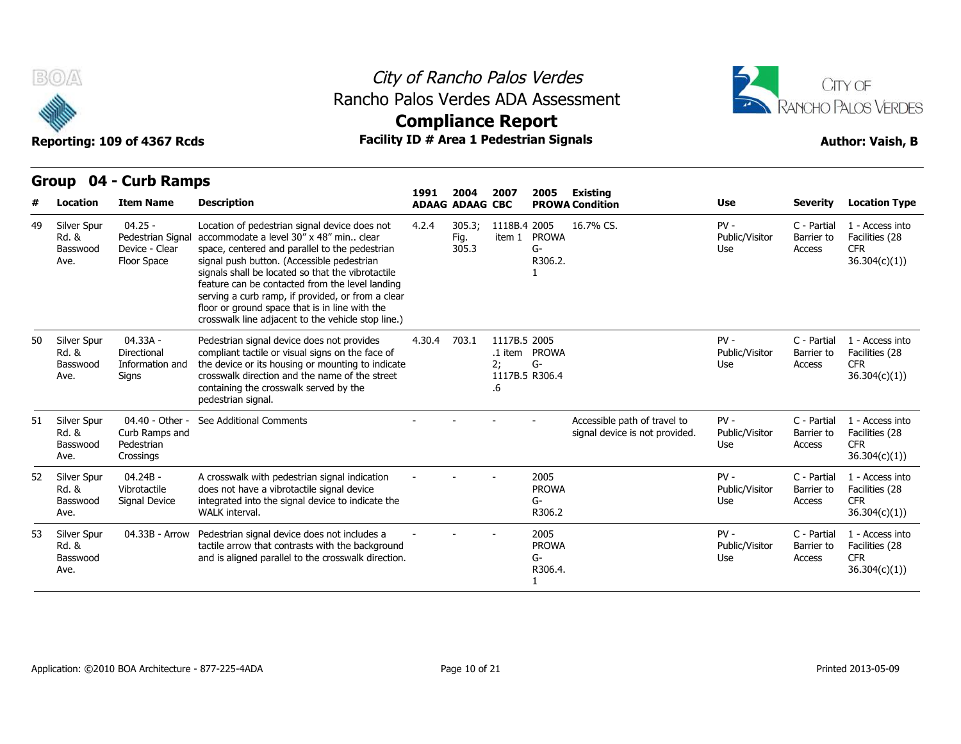



## **Compliance Report**

### **Group 04 - Curb Ramps Item Name Description 1991 ADAAG 2004 ADAAG CBC PROWA 2007 2005 Existing # Location Condition Use Severity Location Type** 04.25 - Pedestrian Signal accommodate a level 30" x 48" min.. clear Basswood Device - Clear space, ce Floor Space signal push button. (Accessible pedestrian Location of pedestrian signal device does not 4.2.4 305.3: space, centered and parallel to the pedestrian signals shall be located so that the vibrotactile feature can be contacted from the level landing serving a curb ramp, if provided, or from a clear floor or ground space that is in line with the crosswalk line adjacent to the vehicle stop line.) 4.2.4 305.3; 1118B.4 Fig. item 1 PROWA 305.3 2005 16.7% CS. PV - G-R306.2. 1 Public/Visitor Barrier to Use Access C - Partial 1 - Access into Barrier to Facilities (28 CFR 36.304(c)(1)) 49 Silver Spur Rd. & Ave. Floor Space 04.33A - Directional Basswood Information and the device of Signs crosswalk direction and the name of the street Pedestrian signal device does not provides compliant tactile or visual signs on the face of the device or its housing or mounting to indicate containing the crosswalk served by the pedestrian signal. 4.30.4 703.1 .1 item PROWA 2; G-1117B.5 R306.4 .6 1117B.5 2005 PV - C - Partial Public/Visitor Barrier to Use Access C - Partial 1 - Access into Barrier to Facilities (28 CFR 36.304(c)(1)) 50 Silver Spur Rd. & Ave. Signs 04.40 - Other - See Additional Comments Rd. & Curb Ramps and Pedestrian Basswood Crossings Accessible path of travel to signal device is not provided. PV - C - Partial Public/Visitor Barrier to Use Access C - Partial 1 - Access into Barrier to Facilities (28 CFR 36.304(c)(1)) 51 Silver Spur Ave. 04.24B - Vibrotactile Signal Device integrated into the signal device to indicate the A crosswalk with pedestrian signal indication does not have a vibrotactile signal device WALK interval. - - - <sup>2005</sup> PROWA G-R306.2 PV - C - Partial Public/Visitor Use Access C - Partial 1 - Access into Barrier to Facilities (28 CFR 36.304(c)(1)) 52 Silver Spur Rd. & Basswood Signal Device Ave. Signis<br>
Containing the crosswalk served by the<br>
pedestrian signal.<br>
04.40 - Other - See Additional Comments<br>
Curb Ramps and<br>
Pedestrian<br>
Crossings<br>
04.24B - A crosswalk with pedestrian signal indication<br>
Vibrotactile does tactile arrow that contrasts with the background 04.33B - Arrow Pedestrian signal device does not includes a  $\begin{array}{ccc}\n 2005 \\
 - 2005 \\
 \end{array}$  PROV and is aligned parallel to the crosswalk direction. PROWA G-R306.4. 1 PV - C - Partial Public/Visitor Barrier to Use Access C - Partial 1 - Access into Barrier to Facilities (28 CFR 36.304(c)(1)) 53 Silver Spur Rd. & Basswood Ave.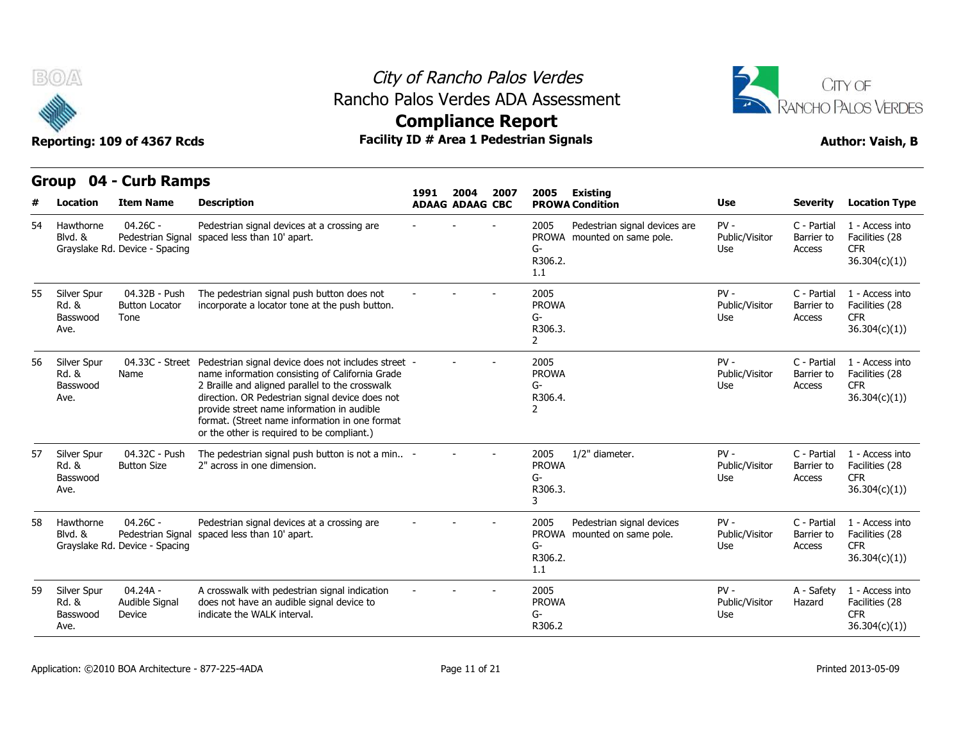

## City of Rancho Palos Verdes Rancho Palos Verdes ADA Assessment





|    |                                          | STOUP OT - CUID KAIIIPS                                           |                                                                                                                                                                                                                                                                                                                                                            | 1991                   | 2004 | 2007 | 2005                                                  | Existing                                                     |                                 |                                     |                                                                  |
|----|------------------------------------------|-------------------------------------------------------------------|------------------------------------------------------------------------------------------------------------------------------------------------------------------------------------------------------------------------------------------------------------------------------------------------------------------------------------------------------------|------------------------|------|------|-------------------------------------------------------|--------------------------------------------------------------|---------------------------------|-------------------------------------|------------------------------------------------------------------|
|    | Location                                 | <b>Item Name</b>                                                  | <b>Description</b>                                                                                                                                                                                                                                                                                                                                         | <b>ADAAG ADAAG CBC</b> |      |      |                                                       | <b>PROWA Condition</b>                                       | <b>Use</b>                      | <b>Severity</b>                     | <b>Location Type</b>                                             |
| 54 | Hawthorne<br>Blvd. &                     | $04.26C -$<br>Pedestrian Signal<br>Grayslake Rd. Device - Spacing | Pedestrian signal devices at a crossing are<br>spaced less than 10' apart.                                                                                                                                                                                                                                                                                 |                        |      |      | 2005<br>G-<br>R306.2.<br>1.1                          | Pedestrian signal devices are<br>PROWA mounted on same pole. | $PV -$<br>Public/Visitor<br>Use | C - Partial<br>Barrier to<br>Access | 1 - Access into<br>Facilities (28<br><b>CFR</b><br>36.304(c)(1)) |
| 55 | Silver Spur<br>Rd. &<br>Basswood<br>Ave. | 04.32B - Push<br><b>Button Locator</b><br>Tone                    | The pedestrian signal push button does not<br>incorporate a locator tone at the push button.                                                                                                                                                                                                                                                               |                        |      |      | 2005<br><b>PROWA</b><br>G-<br>R306.3.<br>$\mathbf{2}$ |                                                              | $PV -$<br>Public/Visitor<br>Use | C - Partial<br>Barrier to<br>Access | 1 - Access into<br>Facilities (28<br><b>CFR</b><br>36.304(c)(1)) |
| 56 | Silver Spur<br>Rd. &<br>Basswood<br>Ave. | 04.33C - Street<br>Name                                           | Pedestrian signal device does not includes street -<br>name information consisting of California Grade<br>2 Braille and aligned parallel to the crosswalk<br>direction. OR Pedestrian signal device does not<br>provide street name information in audible<br>format. (Street name information in one format<br>or the other is required to be compliant.) |                        |      |      | 2005<br><b>PROWA</b><br>G-<br>R306.4.<br>2            |                                                              | $PV -$<br>Public/Visitor<br>Use | C - Partial<br>Barrier to<br>Access | 1 - Access into<br>Facilities (28<br><b>CFR</b><br>36.304(c)(1)) |
| 57 | Silver Spur<br>Rd. &<br>Basswood<br>Ave. | 04.32C - Push<br><b>Button Size</b>                               | The pedestrian signal push button is not a min -<br>2" across in one dimension.                                                                                                                                                                                                                                                                            |                        |      |      | 2005<br><b>PROWA</b><br>$G-$<br>R306.3.<br>3          | 1/2" diameter.                                               | $PV -$<br>Public/Visitor<br>Use | C - Partial<br>Barrier to<br>Access | 1 - Access into<br>Facilities (28<br><b>CFR</b><br>36.304(c)(1)) |
| 58 | Hawthorne<br>Blvd. &                     | $04.26C -$<br>Pedestrian Signal<br>Grayslake Rd. Device - Spacing | Pedestrian signal devices at a crossing are<br>spaced less than 10' apart.                                                                                                                                                                                                                                                                                 |                        |      |      | 2005<br>G-<br>R306.2.<br>1.1                          | Pedestrian signal devices<br>PROWA mounted on same pole.     | $PV -$<br>Public/Visitor<br>Use | C - Partial<br>Barrier to<br>Access | 1 - Access into<br>Facilities (28<br><b>CFR</b><br>36.304(c)(1)) |
| 59 | Silver Spur<br>Rd. &<br>Basswood<br>Ave. | $04.24A -$<br>Audible Signal<br>Device                            | A crosswalk with pedestrian signal indication<br>does not have an audible signal device to<br>indicate the WALK interval.                                                                                                                                                                                                                                  |                        |      |      | 2005<br><b>PROWA</b><br>G-<br>R306.2                  |                                                              | $PV -$<br>Public/Visitor<br>Use | A - Safety<br>Hazard                | 1 - Access into<br>Facilities (28<br><b>CFR</b><br>36.304(c)(1)  |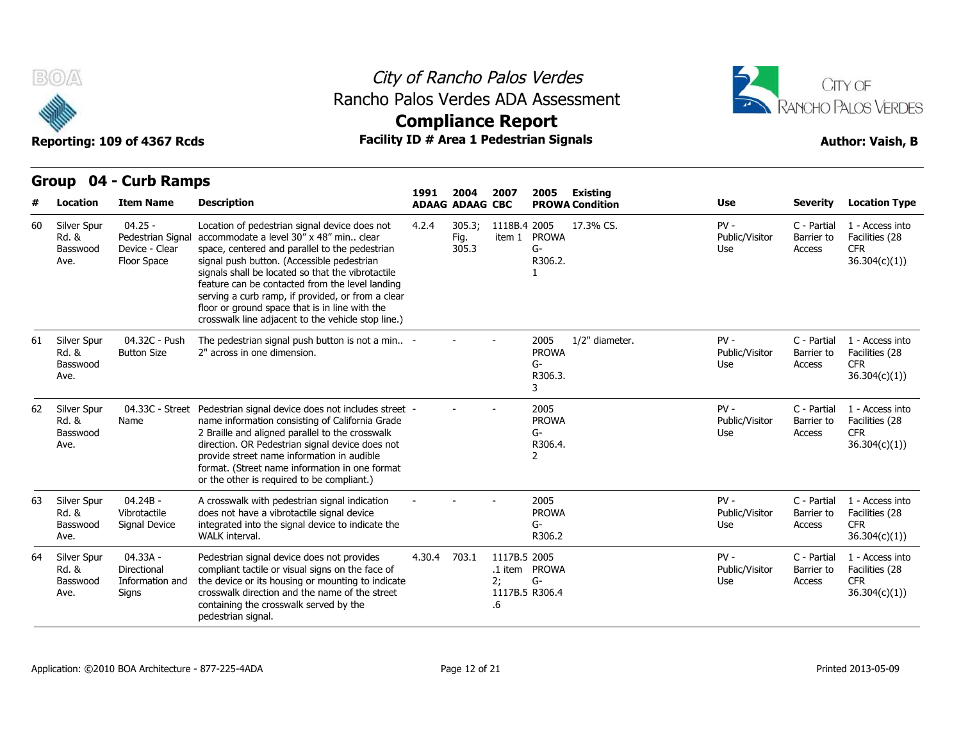

### City of Rancho Palos Verdes Rancho Palos Verdes ADA Assessment



# **Compliance Report**

|    |                                                     |                                                                 |                                                                                                                                                                                                                                                                                                                                                                                                                                                               | 1991   | 2004                    | 2007                                       | 2005                                         | Existing               |                                 |                                     |                                                                  |
|----|-----------------------------------------------------|-----------------------------------------------------------------|---------------------------------------------------------------------------------------------------------------------------------------------------------------------------------------------------------------------------------------------------------------------------------------------------------------------------------------------------------------------------------------------------------------------------------------------------------------|--------|-------------------------|--------------------------------------------|----------------------------------------------|------------------------|---------------------------------|-------------------------------------|------------------------------------------------------------------|
|    | <b>Location</b>                                     | <b>Item Name</b>                                                | <b>Description</b>                                                                                                                                                                                                                                                                                                                                                                                                                                            |        | <b>ADAAG ADAAG CBC</b>  |                                            |                                              | <b>PROWA Condition</b> | <b>Use</b>                      | <b>Severity</b>                     | <b>Location Type</b>                                             |
| 60 | Silver Spur<br><b>Rd. &amp;</b><br>Basswood<br>Ave. | $04.25 -$<br>Pedestrian Signal<br>Device - Clear<br>Floor Space | Location of pedestrian signal device does not<br>accommodate a level 30" x 48" min clear<br>space, centered and parallel to the pedestrian<br>signal push button. (Accessible pedestrian<br>signals shall be located so that the vibrotactile<br>feature can be contacted from the level landing<br>serving a curb ramp, if provided, or from a clear<br>floor or ground space that is in line with the<br>crosswalk line adjacent to the vehicle stop line.) | 4.2.4  | 305.3;<br>Fig.<br>305.3 | 1118B.4 2005                               | item 1 PROWA<br>$G-$<br>R306.2.              | 17.3% CS.              | $PV -$<br>Public/Visitor<br>Use | C - Partial<br>Barrier to<br>Access | 1 - Access into<br>Facilities (28<br><b>CFR</b><br>36.304(c)(1)  |
| 61 | Silver Spur<br>Rd. &<br>Basswood<br>Ave.            | 04.32C - Push<br><b>Button Size</b>                             | The pedestrian signal push button is not a min -<br>2" across in one dimension.                                                                                                                                                                                                                                                                                                                                                                               |        |                         |                                            | 2005<br><b>PROWA</b><br>$G-$<br>R306.3.<br>3 | 1/2" diameter.         | $PV -$<br>Public/Visitor<br>Use | C - Partial<br>Barrier to<br>Access | 1 - Access into<br>Facilities (28<br><b>CFR</b><br>36.304(c)(1)) |
| 62 | Silver Spur<br>Rd. &<br>Basswood<br>Ave.            | 04.33C - Street<br>Name                                         | Pedestrian signal device does not includes street -<br>name information consisting of California Grade<br>2 Braille and aligned parallel to the crosswalk<br>direction. OR Pedestrian signal device does not<br>provide street name information in audible<br>format. (Street name information in one format<br>or the other is required to be compliant.)                                                                                                    |        |                         |                                            | 2005<br><b>PROWA</b><br>G-<br>R306.4.<br>2   |                        | $PV -$<br>Public/Visitor<br>Use | C - Partial<br>Barrier to<br>Access | 1 - Access into<br>Facilities (28<br><b>CFR</b><br>36.304(c)(1)  |
| 63 | Silver Spur<br><b>Rd. &amp;</b><br>Basswood<br>Ave. | $04.24B -$<br>Vibrotactile<br>Signal Device                     | A crosswalk with pedestrian signal indication<br>does not have a vibrotactile signal device<br>integrated into the signal device to indicate the<br>WALK interval.                                                                                                                                                                                                                                                                                            |        |                         |                                            | 2005<br><b>PROWA</b><br>G-<br>R306.2         |                        | $PV -$<br>Public/Visitor<br>Use | C - Partial<br>Barrier to<br>Access | 1 - Access into<br>Facilities (28<br><b>CFR</b><br>36.304(c)(1)  |
| 64 | Silver Spur<br>Rd. &<br>Basswood<br>Ave.            | 04.33A -<br>Directional<br>Information and<br><b>Signs</b>      | Pedestrian signal device does not provides<br>compliant tactile or visual signs on the face of<br>the device or its housing or mounting to indicate<br>crosswalk direction and the name of the street<br>containing the crosswalk served by the<br>pedestrian signal.                                                                                                                                                                                         | 4.30.4 | 703.1                   | 1117B.5 2005<br>2:<br>1117B.5 R306.4<br>.6 | .1 item PROWA<br>$G-$                        |                        | $PV -$<br>Public/Visitor<br>Use | C - Partial<br>Barrier to<br>Access | 1 - Access into<br>Facilities (28<br><b>CFR</b><br>36.304(c)(1)  |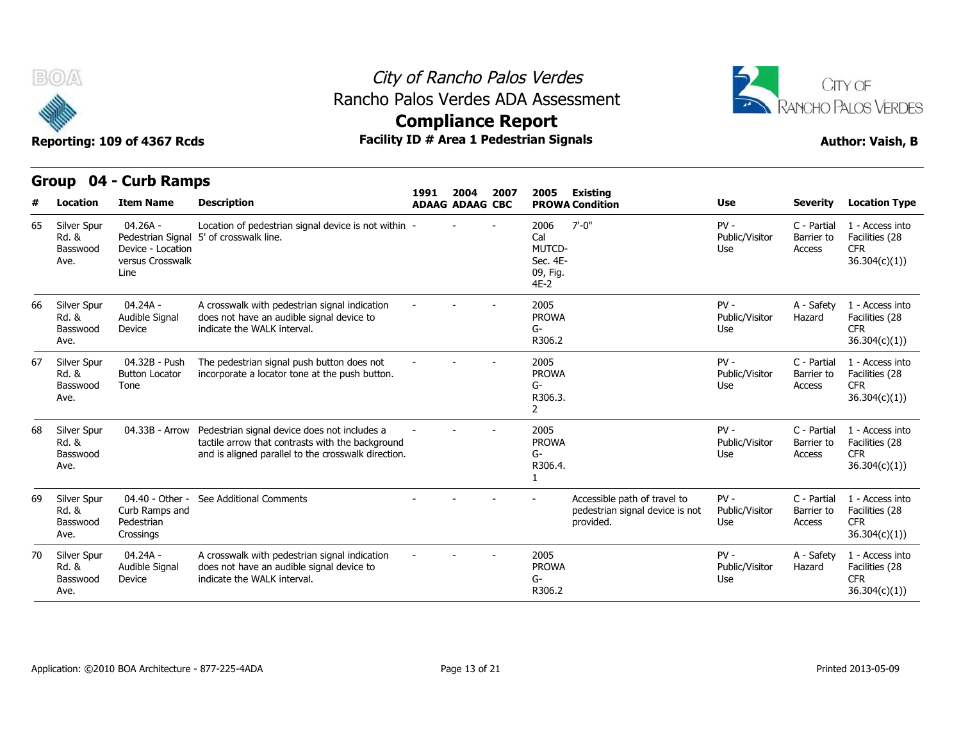

## City of Rancho Palos Verdes Rancho Palos Verdes ADA Assessment



## **Compliance Report**

| #  | Location                                 | <b>Item Name</b>                                                                 | <b>Description</b>                                                                                                                                      | 1991 | 2004<br><b>ADAAG ADAAG CBC</b> | 2007 | 2005                                                           | <b>Existing</b><br><b>PROWA Condition</b>                                    | <b>Use</b>                      | <b>Severity</b>                     | <b>Location Type</b>                                             |
|----|------------------------------------------|----------------------------------------------------------------------------------|---------------------------------------------------------------------------------------------------------------------------------------------------------|------|--------------------------------|------|----------------------------------------------------------------|------------------------------------------------------------------------------|---------------------------------|-------------------------------------|------------------------------------------------------------------|
| 65 | Silver Spur<br>Rd. &<br>Basswood<br>Ave. | $04.26A -$<br>Pedestrian Signal<br>Device - Location<br>versus Crosswalk<br>Line | Location of pedestrian signal device is not within -<br>5' of crosswalk line.                                                                           |      |                                |      | 2006<br>Cal<br><b>MUTCD-</b><br>Sec. 4E-<br>09, Fig.<br>$4E-2$ | $7' - 0''$                                                                   | $PV -$<br>Public/Visitor<br>Use | C - Partial<br>Barrier to<br>Access | 1 - Access into<br>Facilities (28<br><b>CFR</b><br>36.304(c)(1)) |
| 66 | Silver Spur<br>Rd. &<br>Basswood<br>Ave. | 04.24A -<br>Audible Signal<br>Device                                             | A crosswalk with pedestrian signal indication<br>does not have an audible signal device to<br>indicate the WALK interval.                               |      |                                |      | 2005<br><b>PROWA</b><br>G-<br>R306.2                           |                                                                              | $PV -$<br>Public/Visitor<br>Use | A - Safety<br>Hazard                | 1 - Access into<br>Facilities (28<br><b>CFR</b><br>36.304(c)(1)) |
| 67 | Silver Spur<br>Rd. &<br>Basswood<br>Ave. | 04.32B - Push<br><b>Button Locator</b><br>Tone                                   | The pedestrian signal push button does not<br>incorporate a locator tone at the push button.                                                            |      |                                |      | 2005<br><b>PROWA</b><br>G-<br>R306.3.<br>$\overline{2}$        |                                                                              | $PV -$<br>Public/Visitor<br>Use | C - Partial<br>Barrier to<br>Access | 1 - Access into<br>Facilities (28<br><b>CFR</b><br>36.304(c)(1)  |
| 68 | Silver Spur<br>Rd. &<br>Basswood<br>Ave. | 04.33B - Arrow                                                                   | Pedestrian signal device does not includes a<br>tactile arrow that contrasts with the background<br>and is aligned parallel to the crosswalk direction. |      |                                |      | 2005<br><b>PROWA</b><br>G-<br>R306.4.                          |                                                                              | $PV -$<br>Public/Visitor<br>Use | C - Partial<br>Barrier to<br>Access | 1 - Access into<br>Facilities (28<br><b>CFR</b><br>36.304(c)(1)) |
| 69 | Silver Spur<br>Rd. &<br>Basswood<br>Ave. | 04.40 - Other -<br>Curb Ramps and<br>Pedestrian<br>Crossings                     | See Additional Comments                                                                                                                                 |      |                                |      |                                                                | Accessible path of travel to<br>pedestrian signal device is not<br>provided. | $PV -$<br>Public/Visitor<br>Use | C - Partial<br>Barrier to<br>Access | 1 - Access into<br>Facilities (28<br><b>CFR</b><br>36.304(c)(1)) |
| 70 | Silver Spur<br>Rd. &<br>Basswood<br>Ave. | 04.24A -<br>Audible Signal<br>Device                                             | A crosswalk with pedestrian signal indication<br>does not have an audible signal device to<br>indicate the WALK interval.                               |      |                                |      | 2005<br><b>PROWA</b><br>G-<br>R306.2                           |                                                                              | $PV -$<br>Public/Visitor<br>Use | A - Safety<br>Hazard                | 1 - Access into<br>Facilities (28<br><b>CFR</b><br>36.304(c)(1)  |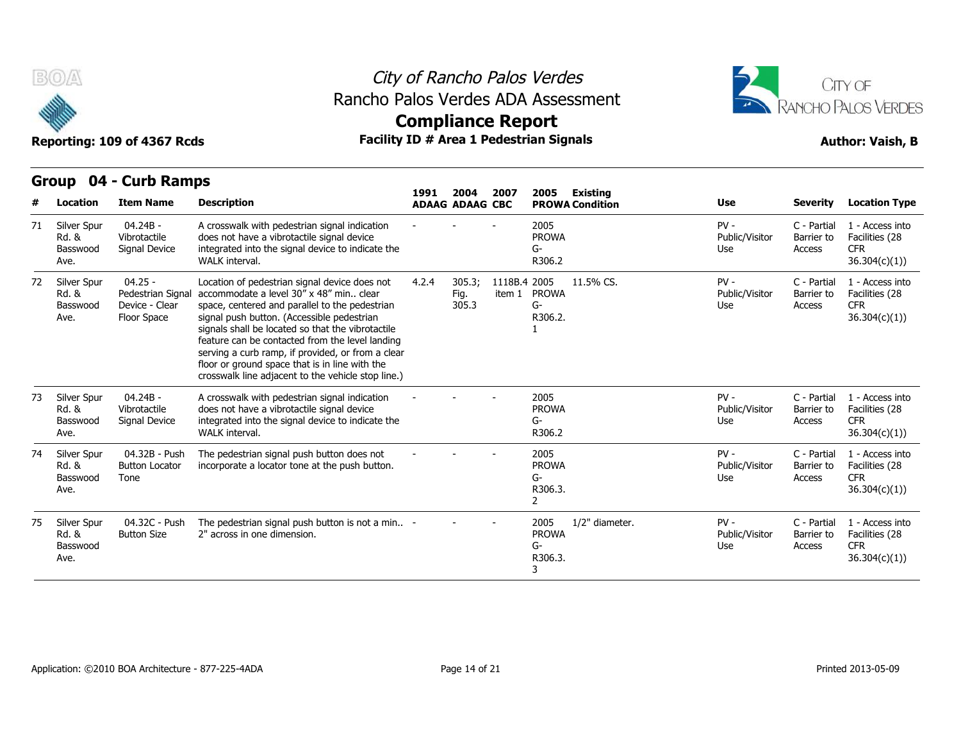

### City of Rancho Palos Verdes Rancho Palos Verdes ADA Assessment



# **Compliance Report**

|    | $\mathbf{v}$ to $\mathbf{r}$             | <b>AND IMMINA</b>                                               |                                                                                                                                                                                                                                                                                                                                                                                                                                                                 | 1991                   | 2004                    | 2007                   | 2005                                       | <b>Existing</b>        |                                 |                                     |                                                                  |
|----|------------------------------------------|-----------------------------------------------------------------|-----------------------------------------------------------------------------------------------------------------------------------------------------------------------------------------------------------------------------------------------------------------------------------------------------------------------------------------------------------------------------------------------------------------------------------------------------------------|------------------------|-------------------------|------------------------|--------------------------------------------|------------------------|---------------------------------|-------------------------------------|------------------------------------------------------------------|
|    | Location                                 | <b>Item Name</b>                                                | <b>Description</b>                                                                                                                                                                                                                                                                                                                                                                                                                                              | <b>ADAAG ADAAG CBC</b> |                         |                        |                                            | <b>PROWA Condition</b> | Use                             | <b>Severity</b>                     | <b>Location Type</b>                                             |
| 71 | Silver Spur<br>Rd. &<br>Basswood<br>Ave. | $04.24B -$<br>Vibrotactile<br>Signal Device                     | A crosswalk with pedestrian signal indication<br>does not have a vibrotactile signal device<br>integrated into the signal device to indicate the<br>WALK interval.                                                                                                                                                                                                                                                                                              |                        |                         |                        | 2005<br><b>PROWA</b><br>G-<br>R306.2       |                        | $PV -$<br>Public/Visitor<br>Use | C - Partial<br>Barrier to<br>Access | 1 - Access into<br>Facilities (28<br><b>CFR</b><br>36.304(c)(1)) |
| 72 | Silver Spur<br>Rd. &<br>Basswood<br>Ave. | $04.25 -$<br>Pedestrian Signal<br>Device - Clear<br>Floor Space | Location of pedestrian signal device does not<br>accommodate a level 30" x 48" min., clear<br>space, centered and parallel to the pedestrian<br>signal push button. (Accessible pedestrian<br>signals shall be located so that the vibrotactile<br>feature can be contacted from the level landing<br>serving a curb ramp, if provided, or from a clear<br>floor or ground space that is in line with the<br>crosswalk line adjacent to the vehicle stop line.) | 4.2.4                  | 305.3;<br>Fig.<br>305.3 | 1118B.4 2005<br>item 1 | <b>PROWA</b><br>G-<br>R306.2.              | 11.5% CS.              | $PV -$<br>Public/Visitor<br>Use | C - Partial<br>Barrier to<br>Access | 1 - Access into<br>Facilities (28<br><b>CFR</b><br>36.304(c)(1)) |
| 73 | Silver Spur<br>Rd. &<br>Basswood<br>Ave. | $04.24B -$<br>Vibrotactile<br>Signal Device                     | A crosswalk with pedestrian signal indication<br>does not have a vibrotactile signal device<br>integrated into the signal device to indicate the<br>WALK interval.                                                                                                                                                                                                                                                                                              |                        |                         |                        | 2005<br><b>PROWA</b><br>G-<br>R306.2       |                        | $PV -$<br>Public/Visitor<br>Use | C - Partial<br>Barrier to<br>Access | 1 - Access into<br>Facilities (28<br><b>CFR</b><br>36.304(c)(1)) |
| 74 | Silver Spur<br>Rd. &<br>Basswood<br>Ave. | 04.32B - Push<br><b>Button Locator</b><br>Tone                  | The pedestrian signal push button does not<br>incorporate a locator tone at the push button.                                                                                                                                                                                                                                                                                                                                                                    |                        |                         |                        | 2005<br><b>PROWA</b><br>G-<br>R306.3.<br>2 |                        | $PV -$<br>Public/Visitor<br>Use | C - Partial<br>Barrier to<br>Access | 1 - Access into<br>Facilities (28<br><b>CFR</b><br>36.304(c)(1)) |
| 75 | Silver Spur<br>Rd. &<br>Basswood<br>Ave. | 04.32C - Push<br><b>Button Size</b>                             | The pedestrian signal push button is not a min -<br>2" across in one dimension.                                                                                                                                                                                                                                                                                                                                                                                 |                        |                         |                        | 2005<br><b>PROWA</b><br>G-<br>R306.3.      | 1/2" diameter.         | $PV -$<br>Public/Visitor<br>Use | C - Partial<br>Barrier to<br>Access | 1 - Access into<br>Facilities (28<br><b>CFR</b><br>36.304(c)(1)  |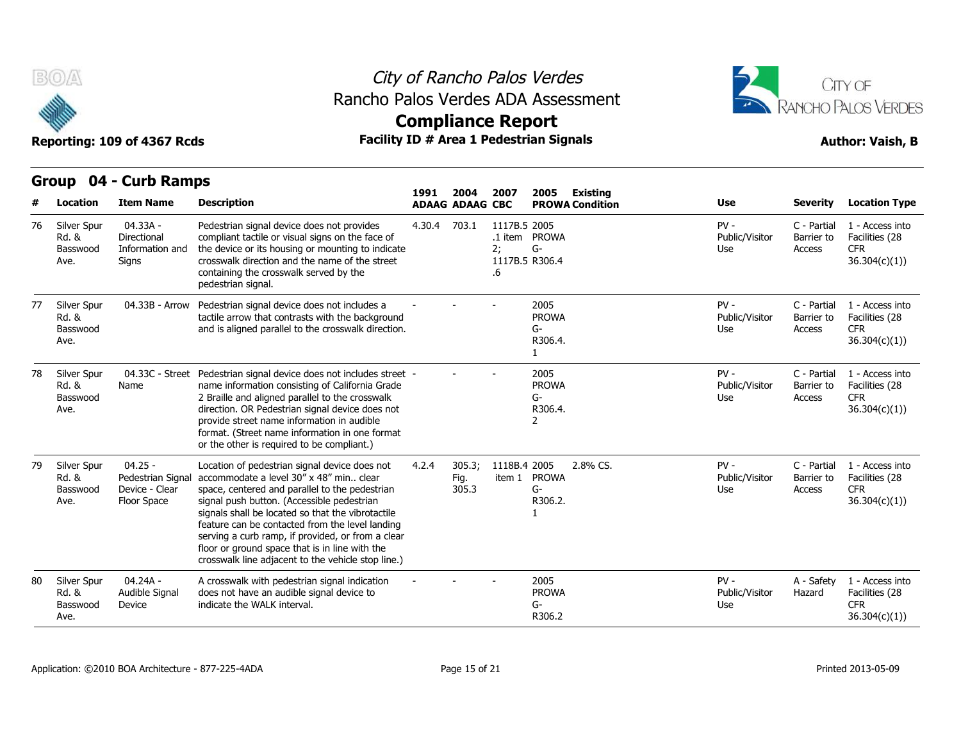

## City of Rancho Palos Verdes Rancho Palos Verdes ADA Assessment



# **Compliance Report**

|    |                                          | Group 04 - Curb Ramps                                           |                                                                                                                                                                                                                                                                                                                                                                                                                                                               |        |                                |                          |                                              |                                           |                                 |                                     |                                                                 |
|----|------------------------------------------|-----------------------------------------------------------------|---------------------------------------------------------------------------------------------------------------------------------------------------------------------------------------------------------------------------------------------------------------------------------------------------------------------------------------------------------------------------------------------------------------------------------------------------------------|--------|--------------------------------|--------------------------|----------------------------------------------|-------------------------------------------|---------------------------------|-------------------------------------|-----------------------------------------------------------------|
|    | Location                                 | <b>Item Name</b>                                                | <b>Description</b>                                                                                                                                                                                                                                                                                                                                                                                                                                            | 1991   | 2004<br><b>ADAAG ADAAG CBC</b> | 2007                     | 2005                                         | <b>Existing</b><br><b>PROWA Condition</b> | Use                             | <b>Severity</b>                     | <b>Location Type</b>                                            |
| 76 | Silver Spur<br>Rd. &<br>Basswood<br>Ave. | 04.33A -<br>Directional<br>Information and<br>Signs             | Pedestrian signal device does not provides<br>compliant tactile or visual signs on the face of<br>the device or its housing or mounting to indicate<br>crosswalk direction and the name of the street<br>containing the crosswalk served by the<br>pedestrian signal.                                                                                                                                                                                         | 4.30.4 | 703.1                          | 1117B.5 2005<br>2:<br>.6 | .1 item PROWA<br>$G-$<br>1117B.5 R306.4      |                                           | $PV -$<br>Public/Visitor<br>Use | C - Partial<br>Barrier to<br>Access | 1 - Access into<br>Facilities (28<br><b>CFR</b><br>36.304(c)(1) |
| 77 | Silver Spur<br>Rd. &<br>Basswood<br>Ave. | 04.33B - Arrow                                                  | Pedestrian signal device does not includes a<br>tactile arrow that contrasts with the background<br>and is aligned parallel to the crosswalk direction.                                                                                                                                                                                                                                                                                                       |        |                                |                          | 2005<br><b>PROWA</b><br>G-<br>R306.4.<br>1   |                                           | $PV -$<br>Public/Visitor<br>Use | C - Partial<br>Barrier to<br>Access | 1 - Access into<br>Facilities (28<br><b>CFR</b><br>36.304(c)(1) |
| 78 | Silver Spur<br>Rd. &<br>Basswood<br>Ave. | 04.33C - Street<br>Name                                         | Pedestrian signal device does not includes street -<br>name information consisting of California Grade<br>2 Braille and aligned parallel to the crosswalk<br>direction. OR Pedestrian signal device does not<br>provide street name information in audible<br>format. (Street name information in one format<br>or the other is required to be compliant.)                                                                                                    |        |                                |                          | 2005<br><b>PROWA</b><br>$G-$<br>R306.4.<br>2 |                                           | $PV -$<br>Public/Visitor<br>Use | C - Partial<br>Barrier to<br>Access | 1 - Access into<br>Facilities (28<br><b>CFR</b><br>36.304(c)(1) |
| 79 | Silver Spur<br>Rd. &<br>Basswood<br>Ave. | $04.25 -$<br>Pedestrian Signal<br>Device - Clear<br>Floor Space | Location of pedestrian signal device does not<br>accommodate a level 30" x 48" min clear<br>space, centered and parallel to the pedestrian<br>signal push button. (Accessible pedestrian<br>signals shall be located so that the vibrotactile<br>feature can be contacted from the level landing<br>serving a curb ramp, if provided, or from a clear<br>floor or ground space that is in line with the<br>crosswalk line adjacent to the vehicle stop line.) | 4.2.4  | 305.3;<br>Fig.<br>305.3        | 1118B.4 2005<br>item 1   | <b>PROWA</b><br>$G-$<br>R306.2.              | 2.8% CS.                                  | $PV -$<br>Public/Visitor<br>Use | C - Partial<br>Barrier to<br>Access | 1 - Access into<br>Facilities (28<br><b>CFR</b><br>36.304(c)(1) |
| 80 | Silver Spur<br>Rd. &<br>Basswood<br>Ave. | 04.24A -<br>Audible Signal<br>Device                            | A crosswalk with pedestrian signal indication<br>does not have an audible signal device to<br>indicate the WALK interval.                                                                                                                                                                                                                                                                                                                                     |        |                                |                          | 2005<br><b>PROWA</b><br>G-<br>R306.2         |                                           | $PV -$<br>Public/Visitor<br>Use | A - Safety<br>Hazard                | 1 - Access into<br>Facilities (28<br><b>CFR</b><br>36.304(c)(1) |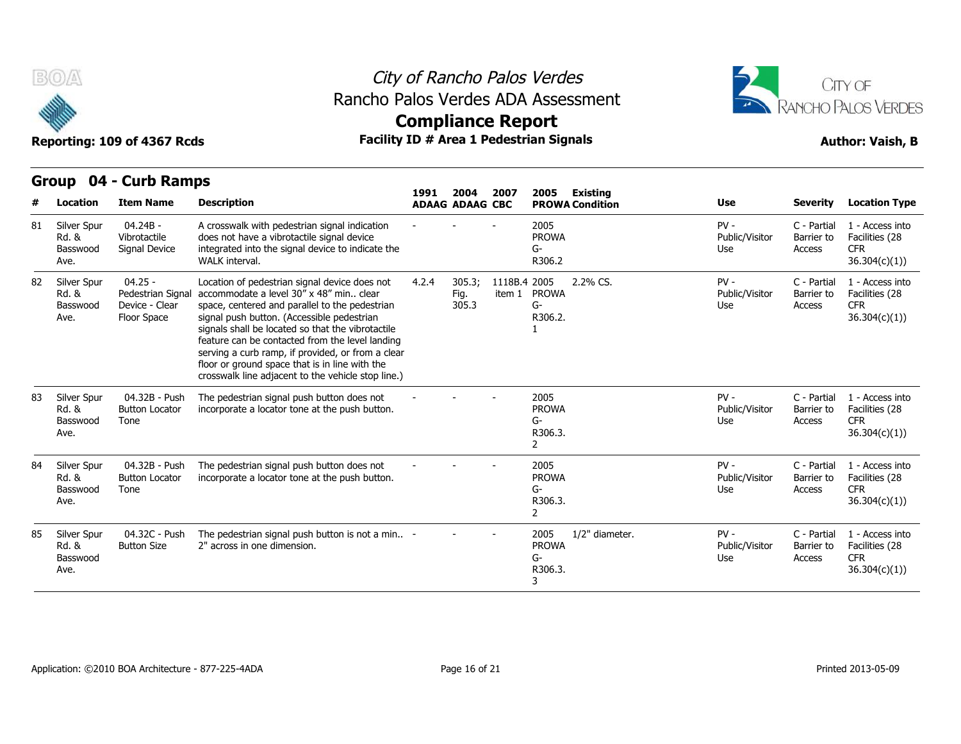

### City of Rancho Palos Verdes Rancho Palos Verdes ADA Assessment



# **Compliance Report**

| #  | <b>Location</b>                          | <b>Item Name</b>                                               | <b>Description</b>                                                                                                                                                                                                                                                                                                                                                                                                                                            | 1991  | 2004<br><b>ADAAG ADAAG CBC</b> | 2007                   | 2005<br><b>Existing</b><br><b>PROWA Condition</b>            | <b>Use</b>                      | <b>Severity</b>                     | <b>Location Type</b>                                             |
|----|------------------------------------------|----------------------------------------------------------------|---------------------------------------------------------------------------------------------------------------------------------------------------------------------------------------------------------------------------------------------------------------------------------------------------------------------------------------------------------------------------------------------------------------------------------------------------------------|-------|--------------------------------|------------------------|--------------------------------------------------------------|---------------------------------|-------------------------------------|------------------------------------------------------------------|
| 81 | Silver Spur<br>Rd. &<br>Basswood<br>Ave. | $04.24B -$<br>Vibrotactile<br>Signal Device                    | A crosswalk with pedestrian signal indication<br>does not have a vibrotactile signal device<br>integrated into the signal device to indicate the<br>WALK interval.                                                                                                                                                                                                                                                                                            |       |                                |                        | 2005<br><b>PROWA</b><br>G-<br>R306.2                         | $PV -$<br>Public/Visitor<br>Use | C - Partial<br>Barrier to<br>Access | 1 - Access into<br>Facilities (28<br><b>CFR</b><br>36.304(c)(1)) |
| 82 | Silver Spur<br>Rd. &<br>Basswood<br>Ave. | $04.25 -$<br>Pedestrian Signa<br>Device - Clear<br>Floor Space | Location of pedestrian signal device does not<br>accommodate a level 30" x 48" min clear<br>space, centered and parallel to the pedestrian<br>signal push button. (Accessible pedestrian<br>signals shall be located so that the vibrotactile<br>feature can be contacted from the level landing<br>serving a curb ramp, if provided, or from a clear<br>floor or ground space that is in line with the<br>crosswalk line adjacent to the vehicle stop line.) | 4.2.4 | 305.3;<br>Fig.<br>305.3        | 1118B.4 2005<br>item 1 | 2.2% CS.<br><b>PROWA</b><br>G-<br>R306.2.                    | $PV -$<br>Public/Visitor<br>Use | C - Partial<br>Barrier to<br>Access | 1 - Access into<br>Facilities (28<br><b>CFR</b><br>36.304(c)(1)  |
| 83 | Silver Spur<br>Rd. &<br>Basswood<br>Ave. | 04.32B - Push<br><b>Button Locator</b><br>Tone                 | The pedestrian signal push button does not<br>incorporate a locator tone at the push button.                                                                                                                                                                                                                                                                                                                                                                  |       |                                |                        | 2005<br><b>PROWA</b><br>G-<br>R306.3.<br>$\overline{2}$      | $PV -$<br>Public/Visitor<br>Use | C - Partial<br>Barrier to<br>Access | 1 - Access into<br>Facilities (28<br><b>CFR</b><br>36.304(c)(1)) |
| 84 | Silver Spur<br>Rd. &<br>Basswood<br>Ave. | 04.32B - Push<br><b>Button Locator</b><br>Tone                 | The pedestrian signal push button does not<br>incorporate a locator tone at the push button.                                                                                                                                                                                                                                                                                                                                                                  |       |                                |                        | 2005<br><b>PROWA</b><br>G-<br>R306.3.<br>$\mathfrak{p}$      | $PV -$<br>Public/Visitor<br>Use | C - Partial<br>Barrier to<br>Access | 1 - Access into<br>Facilities (28<br><b>CFR</b><br>36.304(c)(1)  |
| 85 | Silver Spur<br>Rd. &<br>Basswood<br>Ave. | 04.32C - Push<br><b>Button Size</b>                            | The pedestrian signal push button is not a min -<br>2" across in one dimension.                                                                                                                                                                                                                                                                                                                                                                               |       |                                |                        | 1/2" diameter.<br>2005<br><b>PROWA</b><br>G-<br>R306.3.<br>3 | $PV -$<br>Public/Visitor<br>Use | C - Partial<br>Barrier to<br>Access | 1 - Access into<br>Facilities (28<br><b>CFR</b><br>36.304(c)(1)) |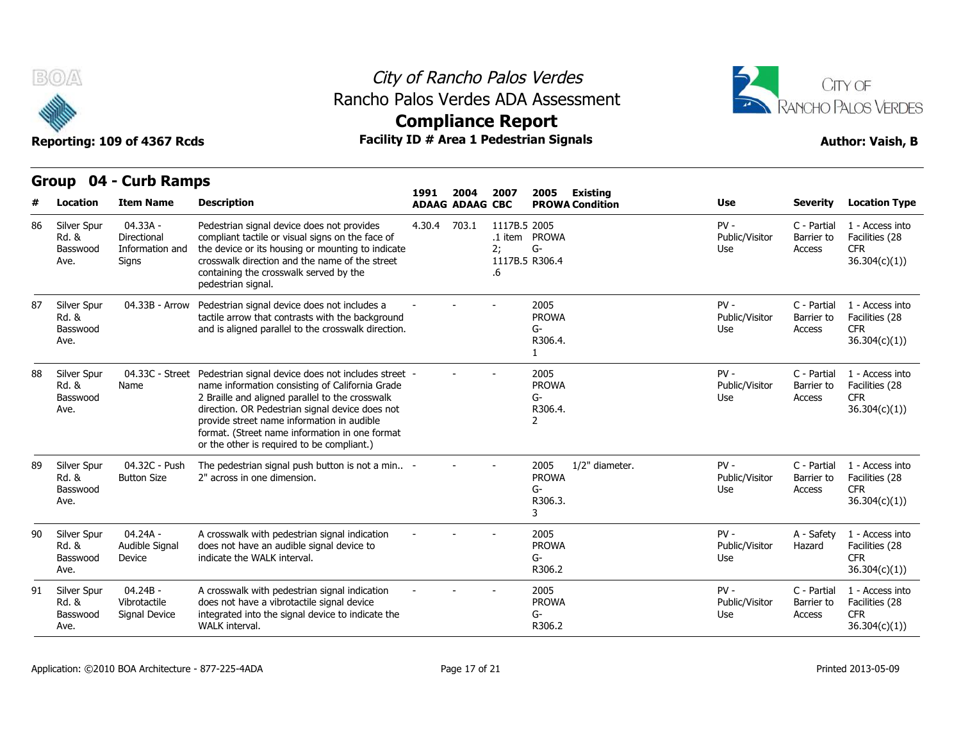

## City of Rancho Palos Verdes Rancho Palos Verdes ADA Assessment



|    | Group                                               | 04 - Curb Ramps                                     |                                                                                                                                                                                                                                                                                                                                                            | 1991   | 2004                   |                          |                                                       |                                    |                                 |                                     |                                                                  |
|----|-----------------------------------------------------|-----------------------------------------------------|------------------------------------------------------------------------------------------------------------------------------------------------------------------------------------------------------------------------------------------------------------------------------------------------------------------------------------------------------------|--------|------------------------|--------------------------|-------------------------------------------------------|------------------------------------|---------------------------------|-------------------------------------|------------------------------------------------------------------|
|    | Location                                            | <b>Item Name</b>                                    | <b>Description</b>                                                                                                                                                                                                                                                                                                                                         |        | <b>ADAAG ADAAG CBC</b> | 2007                     | 2005                                                  | Existing<br><b>PROWA Condition</b> | <b>Use</b>                      | <b>Severity</b>                     | <b>Location Type</b>                                             |
| 86 | Silver Spur<br>Rd. &<br>Basswood<br>Ave.            | 04.33A -<br>Directional<br>Information and<br>Signs | Pedestrian signal device does not provides<br>compliant tactile or visual signs on the face of<br>the device or its housing or mounting to indicate<br>crosswalk direction and the name of the street<br>containing the crosswalk served by the<br>pedestrian signal.                                                                                      | 4.30.4 | 703.1                  | 1117B.5 2005<br>2;<br>.6 | .1 item PROWA<br>$G-$<br>1117B.5 R306.4               |                                    | $PV -$<br>Public/Visitor<br>Use | C - Partial<br>Barrier to<br>Access | 1 - Access into<br>Facilities (28<br><b>CFR</b><br>36.304(c)(1)  |
| 87 | Silver Spur<br>Rd. &<br>Basswood<br>Ave.            | 04.33B - Arrow                                      | Pedestrian signal device does not includes a<br>tactile arrow that contrasts with the background<br>and is aligned parallel to the crosswalk direction.                                                                                                                                                                                                    |        |                        |                          | 2005<br><b>PROWA</b><br>G-<br>R306.4.<br>1            |                                    | $PV -$<br>Public/Visitor<br>Use | C - Partial<br>Barrier to<br>Access | 1 - Access into<br>Facilities (28<br><b>CFR</b><br>36.304(c)(1)) |
| 88 | Silver Spur<br>Rd. &<br>Basswood<br>Ave.            | 04.33C - Street<br>Name                             | Pedestrian signal device does not includes street -<br>name information consisting of California Grade<br>2 Braille and aligned parallel to the crosswalk<br>direction. OR Pedestrian signal device does not<br>provide street name information in audible<br>format. (Street name information in one format<br>or the other is required to be compliant.) |        |                        |                          | 2005<br><b>PROWA</b><br>G-<br>R306.4.<br>$\mathbf{2}$ |                                    | $PV -$<br>Public/Visitor<br>Use | C - Partial<br>Barrier to<br>Access | 1 - Access into<br>Facilities (28<br><b>CFR</b><br>36.304(c)(1)) |
| 89 | Silver Spur<br>Rd. &<br>Basswood<br>Ave.            | 04.32C - Push<br><b>Button Size</b>                 | The pedestrian signal push button is not a min -<br>2" across in one dimension.                                                                                                                                                                                                                                                                            |        |                        |                          | 2005<br><b>PROWA</b><br>G-<br>R306.3.<br>3            | 1/2" diameter.                     | $PV -$<br>Public/Visitor<br>Use | C - Partial<br>Barrier to<br>Access | 1 - Access into<br>Facilities (28<br><b>CFR</b><br>36.304(c)(1)  |
| 90 | Silver Spur<br>Rd. &<br>Basswood<br>Ave.            | $04.24A -$<br>Audible Signal<br>Device              | A crosswalk with pedestrian signal indication<br>does not have an audible signal device to<br>indicate the WALK interval.                                                                                                                                                                                                                                  |        |                        |                          | 2005<br><b>PROWA</b><br>G-<br>R306.2                  |                                    | $PV -$<br>Public/Visitor<br>Use | A - Safety<br>Hazard                | 1 - Access into<br>Facilities (28<br><b>CFR</b><br>36.304(c)(1)) |
| 91 | Silver Spur<br><b>Rd. &amp;</b><br>Basswood<br>Ave. | $04.24B -$<br>Vibrotactile<br>Signal Device         | A crosswalk with pedestrian signal indication<br>does not have a vibrotactile signal device<br>integrated into the signal device to indicate the<br>WALK interval.                                                                                                                                                                                         |        |                        |                          | 2005<br><b>PROWA</b><br>G-<br>R306.2                  |                                    | $PV -$<br>Public/Visitor<br>Use | C - Partial<br>Barrier to<br>Access | 1 - Access into<br>Facilities (28<br><b>CFR</b><br>36.304(c)(1)  |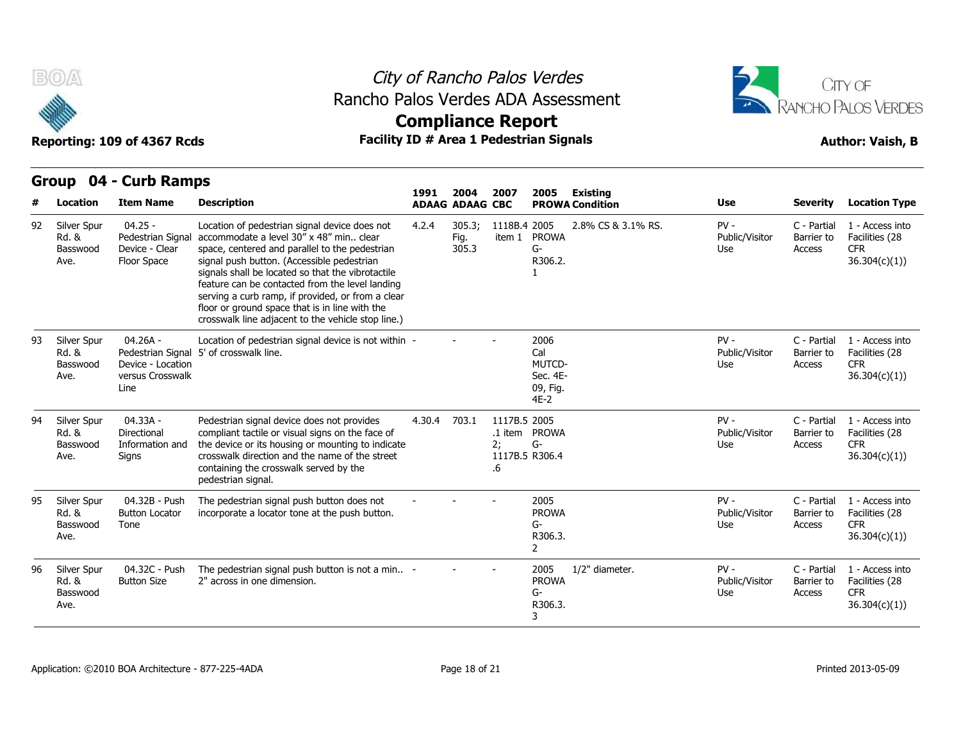

### City of Rancho Palos Verdes Rancho Palos Verdes ADA Assessment



Reporting: 109 of 4367 Rcds **Facility ID # Area 1 Pedestrian Signals Reporting: 109 of 4367 Rcds Author: Vaish, B Compliance Report 1991 2004 2007 2005** 

| #  | Location                                 | <b>Item Name</b>                                                | <b>Description</b>                                                                                                                                                                                                                                                                                                                                                                                                                                              | 1991   | 2004<br><b>ADAAG ADAAG CBC</b> | 2007                     | 2005                                                           | Existing<br><b>PROWA Condition</b> | <b>Use</b>                      | <b>Severity</b>                     | <b>Location Type</b>                                             |
|----|------------------------------------------|-----------------------------------------------------------------|-----------------------------------------------------------------------------------------------------------------------------------------------------------------------------------------------------------------------------------------------------------------------------------------------------------------------------------------------------------------------------------------------------------------------------------------------------------------|--------|--------------------------------|--------------------------|----------------------------------------------------------------|------------------------------------|---------------------------------|-------------------------------------|------------------------------------------------------------------|
| 92 | Silver Spur<br>Rd. &<br>Basswood<br>Ave. | $04.25 -$<br>Pedestrian Signal<br>Device - Clear<br>Floor Space | Location of pedestrian signal device does not<br>accommodate a level 30" x 48" min., clear<br>space, centered and parallel to the pedestrian<br>signal push button. (Accessible pedestrian<br>signals shall be located so that the vibrotactile<br>feature can be contacted from the level landing<br>serving a curb ramp, if provided, or from a clear<br>floor or ground space that is in line with the<br>crosswalk line adjacent to the vehicle stop line.) | 4.2.4  | 305.3;<br>Fig.<br>305.3        | 1118B.4 2005<br>item 1   | <b>PROWA</b><br>G-<br>R306.2.                                  | 2.8% CS & 3.1% RS.                 | $PV -$<br>Public/Visitor<br>Use | C - Partial<br>Barrier to<br>Access | 1 - Access into<br>Facilities (28<br><b>CFR</b><br>36.304(c)(1)  |
| 93 | Silver Spur<br>Rd. &<br>Basswood<br>Ave. | $04.26A -$<br>Device - Location<br>versus Crosswalk<br>Line     | Location of pedestrian signal device is not within -<br>Pedestrian Signal 5' of crosswalk line.                                                                                                                                                                                                                                                                                                                                                                 |        |                                |                          | 2006<br>Cal<br>MUTCD-<br>Sec. 4E-<br>09, Fig.<br>$4E-2$        |                                    | $PV -$<br>Public/Visitor<br>Use | C - Partial<br>Barrier to<br>Access | 1 - Access into<br>Facilities (28<br><b>CFR</b><br>36.304(c)(1)  |
| 94 | Silver Spur<br>Rd. &<br>Basswood<br>Ave. | $04.33A -$<br>Directional<br>Information and<br>Signs           | Pedestrian signal device does not provides<br>compliant tactile or visual signs on the face of<br>the device or its housing or mounting to indicate<br>crosswalk direction and the name of the street<br>containing the crosswalk served by the<br>pedestrian signal.                                                                                                                                                                                           | 4.30.4 | 703.1                          | 1117B.5 2005<br>2;<br>.6 | .1 item PROWA<br>G-<br>1117B.5 R306.4                          |                                    | $PV -$<br>Public/Visitor<br>Use | C - Partial<br>Barrier to<br>Access | 1 - Access into<br>Facilities (28<br><b>CFR</b><br>36.304(c)(1)) |
| 95 | Silver Spur<br>Rd. &<br>Basswood<br>Ave. | 04.32B - Push<br><b>Button Locator</b><br>Tone                  | The pedestrian signal push button does not<br>incorporate a locator tone at the push button.                                                                                                                                                                                                                                                                                                                                                                    |        |                                |                          | 2005<br><b>PROWA</b><br>G-<br>R306.3.<br>$\mathbf{2}^{\prime}$ |                                    | $PV -$<br>Public/Visitor<br>Use | C - Partial<br>Barrier to<br>Access | 1 - Access into<br>Facilities (28<br><b>CFR</b><br>36.304(c)(1)  |
| 96 | Silver Spur<br>Rd. &<br>Basswood<br>Ave. | 04.32C - Push<br><b>Button Size</b>                             | The pedestrian signal push button is not a min -<br>2" across in one dimension.                                                                                                                                                                                                                                                                                                                                                                                 |        |                                |                          | 2005<br><b>PROWA</b><br>$G-$<br>R306.3.<br>3                   | 1/2" diameter.                     | $PV -$<br>Public/Visitor<br>Use | C - Partial<br>Barrier to<br>Access | 1 - Access into<br>Facilities (28<br><b>CFR</b><br>36.304(c)(1)  |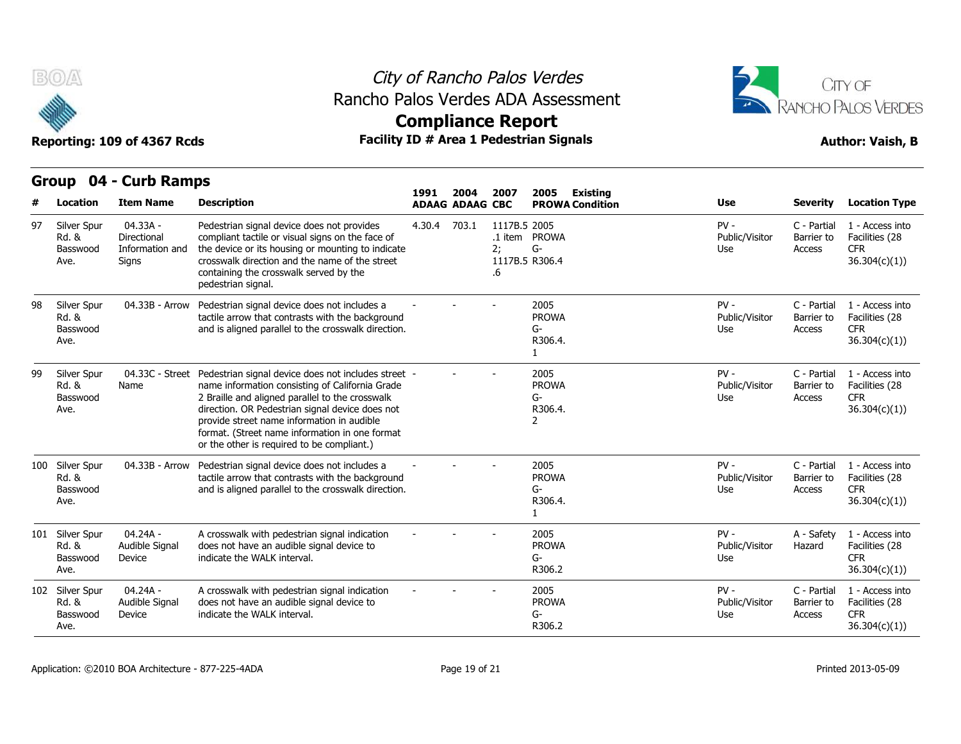

## City of Rancho Palos Verdes Rancho Palos Verdes ADA Assessment



**Compliance Report**

| 04 - Curb Ramps<br>Group<br>2007<br>2005<br>1991<br>2004 |                                              |                                                     |                                                                                                                                                                                                                                                                                                                                                            |        |                        |                          |                                                       |                                           |                                 |                                     |                                                                 |
|----------------------------------------------------------|----------------------------------------------|-----------------------------------------------------|------------------------------------------------------------------------------------------------------------------------------------------------------------------------------------------------------------------------------------------------------------------------------------------------------------------------------------------------------------|--------|------------------------|--------------------------|-------------------------------------------------------|-------------------------------------------|---------------------------------|-------------------------------------|-----------------------------------------------------------------|
| #                                                        | <b>Location</b>                              | <b>Item Name</b>                                    | <b>Description</b>                                                                                                                                                                                                                                                                                                                                         |        | <b>ADAAG ADAAG CBC</b> |                          |                                                       | <b>Existing</b><br><b>PROWA Condition</b> | Use                             | <b>Severity</b>                     | <b>Location Type</b>                                            |
| 97                                                       | Silver Spur<br>Rd. &<br>Basswood<br>Ave.     | 04.33A -<br>Directional<br>Information and<br>Signs | Pedestrian signal device does not provides<br>compliant tactile or visual signs on the face of<br>the device or its housing or mounting to indicate<br>crosswalk direction and the name of the street<br>containing the crosswalk served by the<br>pedestrian signal.                                                                                      | 4.30.4 | 703.1                  | 1117B.5 2005<br>2;<br>.6 | .1 item PROWA<br>G-<br>1117B.5 R306.4                 |                                           | $PV -$<br>Public/Visitor<br>Use | C - Partial<br>Barrier to<br>Access | 1 - Access into<br>Facilities (28<br><b>CFR</b><br>36.304(c)(1) |
| 98                                                       | Silver Spur<br>Rd. &<br>Basswood<br>Ave.     | 04.33B - Arrow                                      | Pedestrian signal device does not includes a<br>tactile arrow that contrasts with the background<br>and is aligned parallel to the crosswalk direction.                                                                                                                                                                                                    |        |                        |                          | 2005<br><b>PROWA</b><br>G-<br>R306.4.<br>$\mathbf{1}$ |                                           | $PV -$<br>Public/Visitor<br>Use | C - Partial<br>Barrier to<br>Access | 1 - Access into<br>Facilities (28<br><b>CFR</b><br>36.304(c)(1) |
| 99                                                       | Silver Spur<br>Rd. &<br>Basswood<br>Ave.     | 04.33C - Street<br>Name                             | Pedestrian signal device does not includes street -<br>name information consisting of California Grade<br>2 Braille and aligned parallel to the crosswalk<br>direction. OR Pedestrian signal device does not<br>provide street name information in audible<br>format. (Street name information in one format<br>or the other is required to be compliant.) |        |                        |                          | 2005<br><b>PROWA</b><br>G-<br>R306.4.<br>2            |                                           | $PV -$<br>Public/Visitor<br>Use | C - Partial<br>Barrier to<br>Access | 1 - Access into<br>Facilities (28<br><b>CFR</b><br>36.304(c)(1) |
|                                                          | 100 Silver Spur<br>Rd. &<br>Basswood<br>Ave. | 04.33B - Arrow                                      | Pedestrian signal device does not includes a<br>tactile arrow that contrasts with the background<br>and is aligned parallel to the crosswalk direction.                                                                                                                                                                                                    |        |                        |                          | 2005<br><b>PROWA</b><br>G-<br>R306.4.<br>1            |                                           | $PV -$<br>Public/Visitor<br>Use | C - Partial<br>Barrier to<br>Access | 1 - Access into<br>Facilities (28<br><b>CFR</b><br>36.304(c)(1) |
|                                                          | 101 Silver Spur<br>Rd. &<br>Basswood<br>Ave. | 04.24A -<br>Audible Signal<br>Device                | A crosswalk with pedestrian signal indication<br>does not have an audible signal device to<br>indicate the WALK interval.                                                                                                                                                                                                                                  |        |                        |                          | 2005<br><b>PROWA</b><br>G-<br>R306.2                  |                                           | $PV -$<br>Public/Visitor<br>Use | A - Safety<br>Hazard                | 1 - Access into<br>Facilities (28<br><b>CFR</b><br>36.304(c)(1) |
|                                                          | 102 Silver Spur<br>Rd. &<br>Basswood<br>Ave. | 04.24A -<br>Audible Signal<br>Device                | A crosswalk with pedestrian signal indication<br>does not have an audible signal device to<br>indicate the WALK interval.                                                                                                                                                                                                                                  |        |                        |                          | 2005<br><b>PROWA</b><br>G-<br>R306.2                  |                                           | $PV -$<br>Public/Visitor<br>Use | C - Partial<br>Barrier to<br>Access | 1 - Access into<br>Facilities (28<br><b>CFR</b><br>36.304(c)(1) |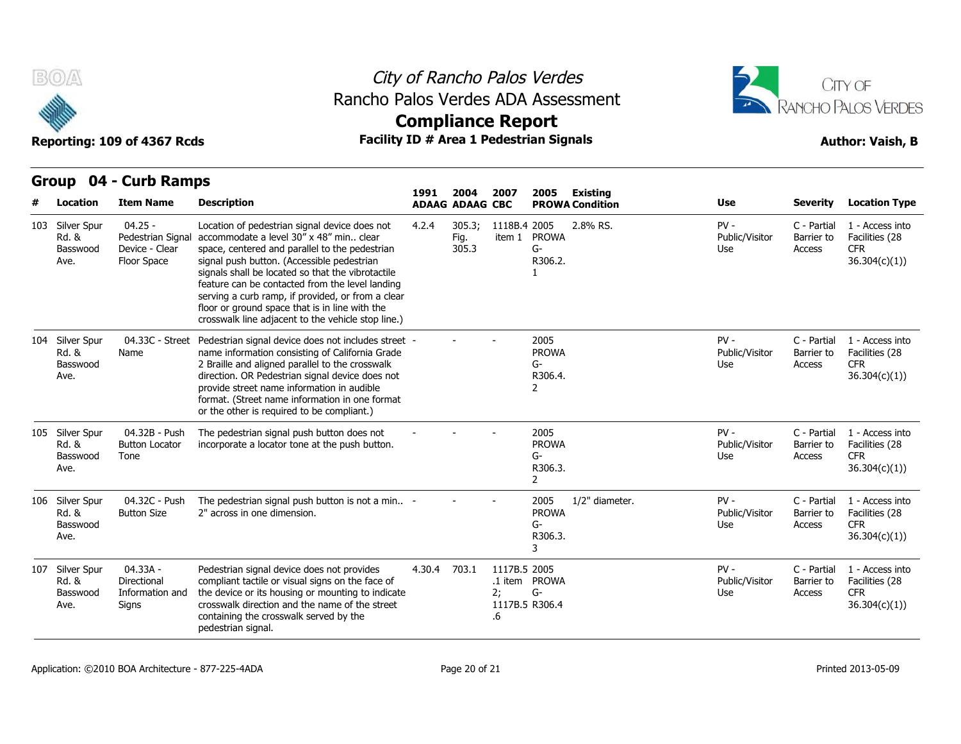

## City of Rancho Palos Verdes Rancho Palos Verdes ADA Assessment





| B(0)                                                                        | Reporting: 109 of 4367 Rcds                                     |                                                                                                                                                                                                                                                                                                                                                                                                                                                                 | City of Rancho Palos Verdes<br>Rancho Palos Verdes ADA Assessment<br><b>Compliance Report</b><br><b>Facility ID # Area 1 Pedestrian Signals</b> |                         |                          |                                                         |                        |                                 |                                     |                                                                  |  |  |
|-----------------------------------------------------------------------------|-----------------------------------------------------------------|-----------------------------------------------------------------------------------------------------------------------------------------------------------------------------------------------------------------------------------------------------------------------------------------------------------------------------------------------------------------------------------------------------------------------------------------------------------------|-------------------------------------------------------------------------------------------------------------------------------------------------|-------------------------|--------------------------|---------------------------------------------------------|------------------------|---------------------------------|-------------------------------------|------------------------------------------------------------------|--|--|
| 04 - Curb Ramps<br>Group<br>1991<br>2004<br>2007<br>2005<br><b>Existing</b> |                                                                 |                                                                                                                                                                                                                                                                                                                                                                                                                                                                 |                                                                                                                                                 |                         |                          |                                                         |                        |                                 |                                     |                                                                  |  |  |
| Location                                                                    | <b>Item Name</b>                                                | <b>Description</b>                                                                                                                                                                                                                                                                                                                                                                                                                                              |                                                                                                                                                 | <b>ADAAG ADAAG CBC</b>  |                          |                                                         | <b>PROWA Condition</b> | <b>Use</b>                      | <b>Severity</b>                     | <b>Location Type</b>                                             |  |  |
| 103 Silver Spur<br>Rd. &<br>Basswood<br>Ave.                                | $04.25 -$<br>Pedestrian Signal<br>Device - Clear<br>Floor Space | Location of pedestrian signal device does not<br>accommodate a level 30" x 48" min., clear<br>space, centered and parallel to the pedestrian<br>signal push button. (Accessible pedestrian<br>signals shall be located so that the vibrotactile<br>feature can be contacted from the level landing<br>serving a curb ramp, if provided, or from a clear<br>floor or ground space that is in line with the<br>crosswalk line adjacent to the vehicle stop line.) | 4.2.4                                                                                                                                           | 305.3;<br>Fig.<br>305.3 | 1118B.4 2005             | item 1 PROWA<br>G-<br>R306.2.<br>1                      | 2.8% RS.               | $PV -$<br>Public/Visitor<br>Use | C - Partial<br>Barrier to<br>Access | 1 - Access into<br>Facilities (28<br><b>CFR</b><br>36.304(c)(1)) |  |  |
| 104 Silver Spur<br>Rd. &<br>Basswood<br>Ave.                                | 04.33C - Street<br>Name                                         | Pedestrian signal device does not includes street -<br>name information consisting of California Grade<br>2 Braille and aligned parallel to the crosswalk<br>direction. OR Pedestrian signal device does not<br>provide street name information in audible<br>format. (Street name information in one format<br>or the other is required to be compliant.)                                                                                                      |                                                                                                                                                 |                         |                          | 2005<br><b>PROWA</b><br>G-<br>R306.4.<br>$\overline{2}$ |                        | $PV -$<br>Public/Visitor<br>Use | C - Partial<br>Barrier to<br>Access | 1 - Access into<br>Facilities (28<br>CFR.<br>36.304(c)(1)        |  |  |
| 105 Silver Spur<br>Rd. &<br>Basswood<br>Ave.                                | 04.32B - Push<br><b>Button Locator</b><br>Tone                  | The pedestrian signal push button does not<br>incorporate a locator tone at the push button.                                                                                                                                                                                                                                                                                                                                                                    |                                                                                                                                                 |                         |                          | 2005<br><b>PROWA</b><br>G-<br>R306.3.<br>$\overline{2}$ |                        | $PV -$<br>Public/Visitor<br>Use | C - Partial<br>Barrier to<br>Access | 1 - Access into<br>Facilities (28<br><b>CFR</b><br>36.304(c)(1)  |  |  |
| 106 Silver Spur<br>Rd. &<br>Basswood<br>Ave.                                | 04.32C - Push<br><b>Button Size</b>                             | The pedestrian signal push button is not a min -<br>2" across in one dimension.                                                                                                                                                                                                                                                                                                                                                                                 |                                                                                                                                                 |                         |                          | 2005<br><b>PROWA</b><br>G-<br>R306.3.<br>3              | 1/2" diameter.         | $PV -$<br>Public/Visitor<br>Use | C - Partial<br>Barrier to<br>Access | 1 - Access into<br>Facilities (28<br>CFR.<br>36.304(c)(1))       |  |  |
| 107 Silver Spur<br>Rd. &<br>Basswood<br>Ave.                                | 04.33A -<br>Directional<br>Information and<br>Signs             | Pedestrian signal device does not provides<br>compliant tactile or visual signs on the face of<br>the device or its housing or mounting to indicate<br>crosswalk direction and the name of the street<br>containing the crosswalk served by the<br>pedestrian signal.                                                                                                                                                                                           | 4.30.4                                                                                                                                          | 703.1                   | 1117B.5 2005<br>2:<br>.6 | .1 item PROWA<br>G-<br>1117B.5 R306.4                   |                        | $PV -$<br>Public/Visitor<br>Use | C - Partial<br>Barrier to<br>Access | 1 - Access into<br>Facilities (28<br><b>CFR</b><br>36.304(c)(1)  |  |  |